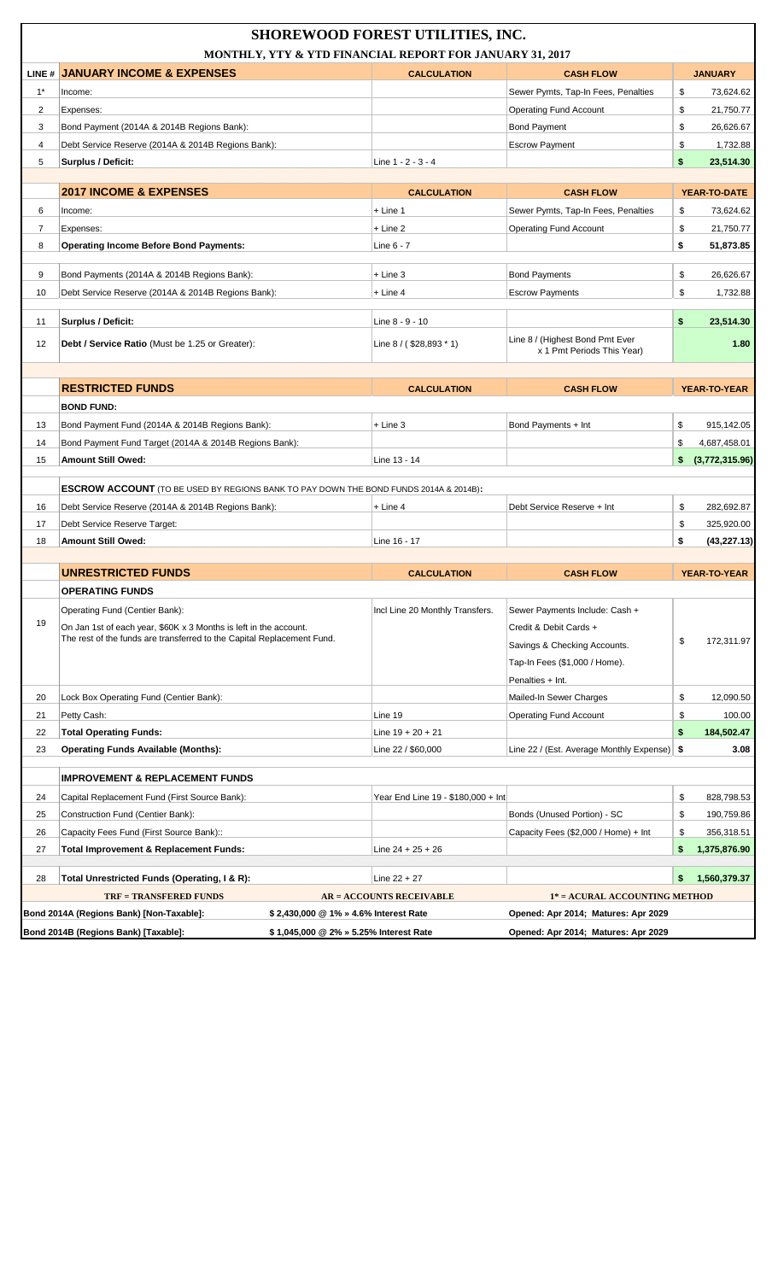|                |                                                                                              | <b>SHOREWOOD FOREST UTILITIES, INC.</b>                  |                                                               |                      |
|----------------|----------------------------------------------------------------------------------------------|----------------------------------------------------------|---------------------------------------------------------------|----------------------|
|                |                                                                                              | MONTHLY, YTY & YTD FINANCIAL REPORT FOR JANUARY 31, 2017 |                                                               |                      |
|                | LINE # JANUARY INCOME & EXPENSES                                                             | <b>CALCULATION</b>                                       | <b>CASH FLOW</b>                                              | <b>JANUARY</b>       |
| $1^*$          | Income:                                                                                      |                                                          | Sewer Pymts, Tap-In Fees, Penalties                           | \$<br>73,624.62      |
| $\overline{2}$ | Expenses:                                                                                    |                                                          | Operating Fund Account                                        | \$<br>21,750.77      |
| 3              | Bond Payment (2014A & 2014B Regions Bank):                                                   |                                                          | <b>Bond Payment</b>                                           | \$<br>26,626.67      |
| 4              | Debt Service Reserve (2014A & 2014B Regions Bank):                                           |                                                          | <b>Escrow Payment</b>                                         | \$<br>1,732.88       |
| 5              | <b>Surplus / Deficit:</b>                                                                    | Line 1 - 2 - 3 - 4                                       |                                                               | \$<br>23,514.30      |
|                |                                                                                              |                                                          |                                                               |                      |
|                | <b>2017 INCOME &amp; EXPENSES</b>                                                            | <b>CALCULATION</b>                                       | <b>CASH FLOW</b>                                              | YEAR-TO-DATE         |
| 6              | Income:                                                                                      | $+$ Line 1                                               | Sewer Pymts, Tap-In Fees, Penalties                           | \$<br>73,624.62      |
| $\overline{7}$ | Expenses:                                                                                    | $+$ Line 2                                               | <b>Operating Fund Account</b>                                 | \$<br>21,750.77      |
| 8              | <b>Operating Income Before Bond Payments:</b>                                                | Line 6 - 7                                               |                                                               | \$<br>51,873.85      |
| 9              | Bond Payments (2014A & 2014B Regions Bank):                                                  | $+$ Line 3                                               | <b>Bond Payments</b>                                          | \$<br>26,626.67      |
| 10             | Debt Service Reserve (2014A & 2014B Regions Bank):                                           | + Line 4                                                 | <b>Escrow Payments</b>                                        | \$<br>1,732.88       |
|                |                                                                                              |                                                          |                                                               |                      |
| 11             | Surplus / Deficit:                                                                           | Line 8 - 9 - 10                                          |                                                               | \$<br>23,514.30      |
| 12             | Debt / Service Ratio (Must be 1.25 or Greater):                                              | Line $8 / ( $28,893 * 1)$                                | Line 8 / (Highest Bond Pmt Ever<br>x 1 Pmt Periods This Year) | 1.80                 |
|                |                                                                                              |                                                          |                                                               |                      |
|                | <b>RESTRICTED FUNDS</b>                                                                      | <b>CALCULATION</b>                                       | <b>CASH FLOW</b>                                              | <b>YEAR-TO-YEAR</b>  |
|                | <b>BOND FUND:</b>                                                                            |                                                          |                                                               |                      |
| 13             | Bond Payment Fund (2014A & 2014B Regions Bank):                                              | $+$ Line 3                                               | Bond Payments + Int                                           | \$<br>915,142.05     |
| 14             | Bond Payment Fund Target (2014A & 2014B Regions Bank):                                       |                                                          |                                                               | \$<br>4,687,458.01   |
| 15             | <b>Amount Still Owed:</b>                                                                    | Line 13 - 14                                             |                                                               | \$<br>(3,772,315.96) |
|                |                                                                                              |                                                          |                                                               |                      |
|                | <b>ESCROW ACCOUNT</b> (TO BE USED BY REGIONS BANK TO PAY DOWN THE BOND FUNDS 2014A & 2014B): |                                                          |                                                               |                      |
| 16             | Debt Service Reserve (2014A & 2014B Regions Bank):                                           | $+$ Line 4                                               | Debt Service Reserve + Int                                    | \$<br>282,692.87     |
| 17             | Debt Service Reserve Target:                                                                 |                                                          |                                                               | \$<br>325.920.00     |
| 18             | Amount Still Owed:                                                                           | Line 16 - 17                                             |                                                               | \$<br>(43, 227.13)   |
|                |                                                                                              |                                                          |                                                               |                      |
|                | <b>UNRESTRICTED FUNDS</b>                                                                    | <b>CALCULATION</b>                                       | <b>CASH FLOW</b>                                              | <b>YEAR-TO-YEAR</b>  |
|                | <b>OPERATING FUNDS</b>                                                                       |                                                          |                                                               |                      |
|                | Operating Fund (Centier Bank):                                                               | Incl Line 20 Monthly Transfers.                          | Sewer Payments Include: Cash +                                |                      |
| 19             | On Jan 1st of each year, \$60K x 3 Months is left in the account.                            |                                                          | Credit & Debit Cards +                                        |                      |
|                | The rest of the funds are transferred to the Capital Replacement Fund.                       |                                                          | Savings & Checking Accounts.                                  | \$<br>172,311.97     |
|                |                                                                                              |                                                          | Tap-In Fees (\$1,000 / Home).                                 |                      |
|                |                                                                                              |                                                          | Penalties + Int.                                              |                      |
| 20             | Lock Box Operating Fund (Centier Bank):                                                      |                                                          | Mailed-In Sewer Charges                                       | \$<br>12,090.50      |
| 21             | Petty Cash:                                                                                  | Line 19                                                  | <b>Operating Fund Account</b>                                 | \$<br>100.00         |
| 22             | <b>Total Operating Funds:</b>                                                                | Line $19 + 20 + 21$                                      |                                                               | \$<br>184,502.47     |
| 23             | <b>Operating Funds Available (Months):</b>                                                   | Line 22 / \$60,000                                       | Line 22 / (Est. Average Monthly Expense)   \$                 | 3.08                 |
|                |                                                                                              |                                                          |                                                               |                      |
|                | <b>IMPROVEMENT &amp; REPLACEMENT FUNDS</b>                                                   |                                                          |                                                               |                      |
| 24             | Capital Replacement Fund (First Source Bank):                                                | Year End Line 19 - \$180,000 + Int                       |                                                               | \$<br>828,798.53     |
| 25             | Construction Fund (Centier Bank):                                                            |                                                          | Bonds (Unused Portion) - SC                                   | \$<br>190,759.86     |
| 26             | Capacity Fees Fund (First Source Bank)::                                                     |                                                          | Capacity Fees (\$2,000 / Home) + Int                          | \$<br>356,318.51     |
| 27             | <b>Total Improvement &amp; Replacement Funds:</b>                                            | Line $24 + 25 + 26$                                      |                                                               | \$<br>1,375,876.90   |
|                |                                                                                              |                                                          |                                                               |                      |
| 28             | Total Unrestricted Funds (Operating, I & R):                                                 | Line $22 + 27$                                           |                                                               | \$<br>1,560,379.37   |
|                | <b>TRF = TRANSFERED FUNDS</b>                                                                | <b>AR = ACCOUNTS RECEIVABLE</b>                          | 1* = ACURAL ACCOUNTING METHOD                                 |                      |
|                | Bond 2014A (Regions Bank) [Non-Taxable]:                                                     | \$2,430,000 @ 1% » 4.6% Interest Rate                    | Opened: Apr 2014; Matures: Apr 2029                           |                      |
|                | Bond 2014B (Regions Bank) [Taxable]:                                                         | \$1,045,000 @ 2% » 5.25% Interest Rate                   | Opened: Apr 2014; Matures: Apr 2029                           |                      |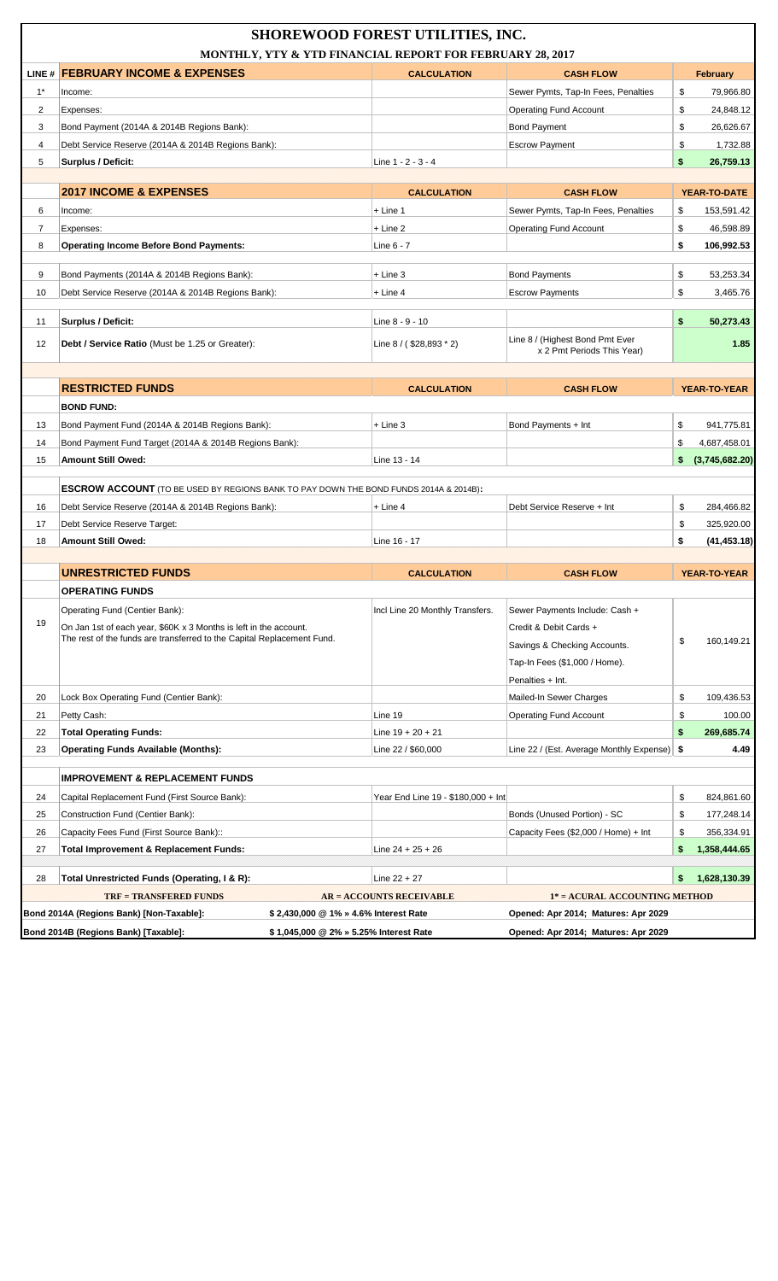|                |                                                                                              |                                        | <b>SHOREWOOD FOREST UTILITIES, INC.</b><br>MONTHLY, YTY & YTD FINANCIAL REPORT FOR FEBRUARY 28, 2017 |                                                               |          |                      |
|----------------|----------------------------------------------------------------------------------------------|----------------------------------------|------------------------------------------------------------------------------------------------------|---------------------------------------------------------------|----------|----------------------|
|                | LINE # FEBRUARY INCOME & EXPENSES                                                            |                                        | <b>CALCULATION</b>                                                                                   | <b>CASH FLOW</b>                                              |          | <b>February</b>      |
| $1^*$          | Income:                                                                                      |                                        |                                                                                                      | Sewer Pymts, Tap-In Fees, Penalties                           | \$       | 79.966.80            |
| $\overline{2}$ | Expenses:                                                                                    |                                        |                                                                                                      | <b>Operating Fund Account</b>                                 | \$       | 24,848.12            |
| 3              | Bond Payment (2014A & 2014B Regions Bank):                                                   |                                        |                                                                                                      | <b>Bond Payment</b>                                           | \$       | 26,626.67            |
| $\overline{4}$ | Debt Service Reserve (2014A & 2014B Regions Bank):                                           |                                        |                                                                                                      | <b>Escrow Payment</b>                                         | \$       | 1,732.88             |
| 5              | <b>Surplus / Deficit:</b>                                                                    |                                        | Line 1 - 2 - 3 - 4                                                                                   |                                                               | \$       | 26,759.13            |
|                |                                                                                              |                                        |                                                                                                      |                                                               |          |                      |
|                | <b>2017 INCOME &amp; EXPENSES</b>                                                            |                                        | <b>CALCULATION</b>                                                                                   | <b>CASH FLOW</b>                                              |          | YEAR-TO-DATE         |
| 6              | Income:                                                                                      |                                        | + Line 1                                                                                             | Sewer Pymts, Tap-In Fees, Penalties                           | \$       | 153,591.42           |
| $\overline{7}$ | Expenses:                                                                                    |                                        | $+$ Line 2                                                                                           | <b>Operating Fund Account</b>                                 | \$       | 46,598.89            |
| 8              | <b>Operating Income Before Bond Payments:</b>                                                |                                        | Line $6 - 7$                                                                                         |                                                               | \$       | 106,992.53           |
|                |                                                                                              |                                        |                                                                                                      |                                                               |          |                      |
| 9              | Bond Payments (2014A & 2014B Regions Bank):                                                  |                                        | $+$ Line 3                                                                                           | <b>Bond Payments</b>                                          | \$       | 53,253.34            |
| 10             | Debt Service Reserve (2014A & 2014B Regions Bank):                                           |                                        | $+$ Line 4                                                                                           | <b>Escrow Payments</b>                                        | \$       | 3,465.76             |
| 11             | Surplus / Deficit:                                                                           |                                        | Line 8 - 9 - 10                                                                                      |                                                               | \$       | 50,273.43            |
| 12             | Debt / Service Ratio (Must be 1.25 or Greater):                                              |                                        | Line $8 / ( $28,893 * 2)$                                                                            | Line 8 / (Highest Bond Pmt Ever<br>x 2 Pmt Periods This Year) |          | 1.85                 |
|                |                                                                                              |                                        |                                                                                                      |                                                               |          |                      |
|                | <b>RESTRICTED FUNDS</b>                                                                      |                                        | <b>CALCULATION</b>                                                                                   | <b>CASH FLOW</b>                                              |          | <b>YEAR-TO-YEAR</b>  |
|                | <b>BOND FUND:</b>                                                                            |                                        |                                                                                                      |                                                               |          |                      |
| 13             | Bond Payment Fund (2014A & 2014B Regions Bank):                                              |                                        | $+$ Line 3                                                                                           | Bond Payments + Int                                           | \$       | 941,775.81           |
| 14             | Bond Payment Fund Target (2014A & 2014B Regions Bank):                                       |                                        |                                                                                                      |                                                               | \$       | 4,687,458.01         |
| 15             | <b>Amount Still Owed:</b>                                                                    |                                        | Line 13 - 14                                                                                         |                                                               | \$       | (3,745,682.20)       |
|                |                                                                                              |                                        |                                                                                                      |                                                               |          |                      |
|                | <b>ESCROW ACCOUNT</b> (TO BE USED BY REGIONS BANK TO PAY DOWN THE BOND FUNDS 2014A & 2014B): |                                        |                                                                                                      |                                                               |          |                      |
| 16             | Debt Service Reserve (2014A & 2014B Regions Bank):                                           |                                        | $+$ Line 4                                                                                           | Debt Service Reserve + Int                                    | \$       | 284,466.82           |
| 17             | Debt Service Reserve Target:                                                                 |                                        |                                                                                                      |                                                               | \$       | 325,920.00           |
| 18             | Amount Still Owed:                                                                           |                                        | Line 16 - 17                                                                                         |                                                               | \$       | (41, 453.18)         |
|                | <b>UNRESTRICTED FUNDS</b>                                                                    |                                        | <b>CALCULATION</b>                                                                                   | <b>CASH FLOW</b>                                              |          | <b>YEAR-TO-YEAR</b>  |
|                | <b>OPERATING FUNDS</b>                                                                       |                                        |                                                                                                      |                                                               |          |                      |
|                | Operating Fund (Centier Bank):                                                               |                                        | Incl Line 20 Monthly Transfers.                                                                      | Sewer Payments Include: Cash +                                |          |                      |
| 19             | On Jan 1st of each year, \$60K x 3 Months is left in the account.                            |                                        |                                                                                                      | Credit & Debit Cards +                                        |          |                      |
|                | The rest of the funds are transferred to the Capital Replacement Fund.                       |                                        |                                                                                                      | Savings & Checking Accounts.                                  | \$       | 160,149.21           |
|                |                                                                                              |                                        |                                                                                                      | Tap-In Fees (\$1,000 / Home).                                 |          |                      |
|                |                                                                                              |                                        |                                                                                                      |                                                               |          |                      |
|                |                                                                                              |                                        |                                                                                                      | Penalties + Int.                                              |          |                      |
| 20<br>21       | Lock Box Operating Fund (Centier Bank):<br>Petty Cash:                                       |                                        | Line 19                                                                                              | Mailed-In Sewer Charges<br><b>Operating Fund Account</b>      | \$<br>\$ | 109,436.53<br>100.00 |
| 22             | <b>Total Operating Funds:</b>                                                                |                                        | Line $19 + 20 + 21$                                                                                  |                                                               | \$       | 269,685.74           |
| 23             | <b>Operating Funds Available (Months):</b>                                                   |                                        | Line 22 / \$60,000                                                                                   | Line 22 / (Est. Average Monthly Expense)   \$                 |          | 4.49                 |
|                |                                                                                              |                                        |                                                                                                      |                                                               |          |                      |
|                | <b>IMPROVEMENT &amp; REPLACEMENT FUNDS</b>                                                   |                                        |                                                                                                      |                                                               |          |                      |
| 24             | Capital Replacement Fund (First Source Bank):                                                |                                        | Year End Line 19 - \$180,000 + Int                                                                   |                                                               | \$       | 824,861.60           |
| 25             | Construction Fund (Centier Bank):                                                            |                                        |                                                                                                      | Bonds (Unused Portion) - SC                                   | \$       | 177,248.14           |
| 26             | Capacity Fees Fund (First Source Bank)::                                                     |                                        |                                                                                                      | Capacity Fees (\$2,000 / Home) + Int                          | \$       | 356,334.91           |
| 27             | <b>Total Improvement &amp; Replacement Funds:</b>                                            |                                        | Line $24 + 25 + 26$                                                                                  |                                                               | \$       | 1,358,444.65         |
|                |                                                                                              |                                        |                                                                                                      |                                                               |          |                      |
| 28             | Total Unrestricted Funds (Operating, I & R):                                                 |                                        | Line $22 + 27$                                                                                       |                                                               | \$       | 1,628,130.39         |
|                | <b>TRF = TRANSFERED FUNDS</b>                                                                |                                        | <b>AR = ACCOUNTS RECEIVABLE</b>                                                                      | 1* = ACURAL ACCOUNTING METHOD                                 |          |                      |
|                | Bond 2014A (Regions Bank) [Non-Taxable]:                                                     | \$2,430,000 @ 1% » 4.6% Interest Rate  |                                                                                                      | Opened: Apr 2014; Matures: Apr 2029                           |          |                      |
|                | Bond 2014B (Regions Bank) [Taxable]:                                                         | \$1,045,000 @ 2% » 5.25% Interest Rate |                                                                                                      | Opened: Apr 2014; Matures: Apr 2029                           |          |                      |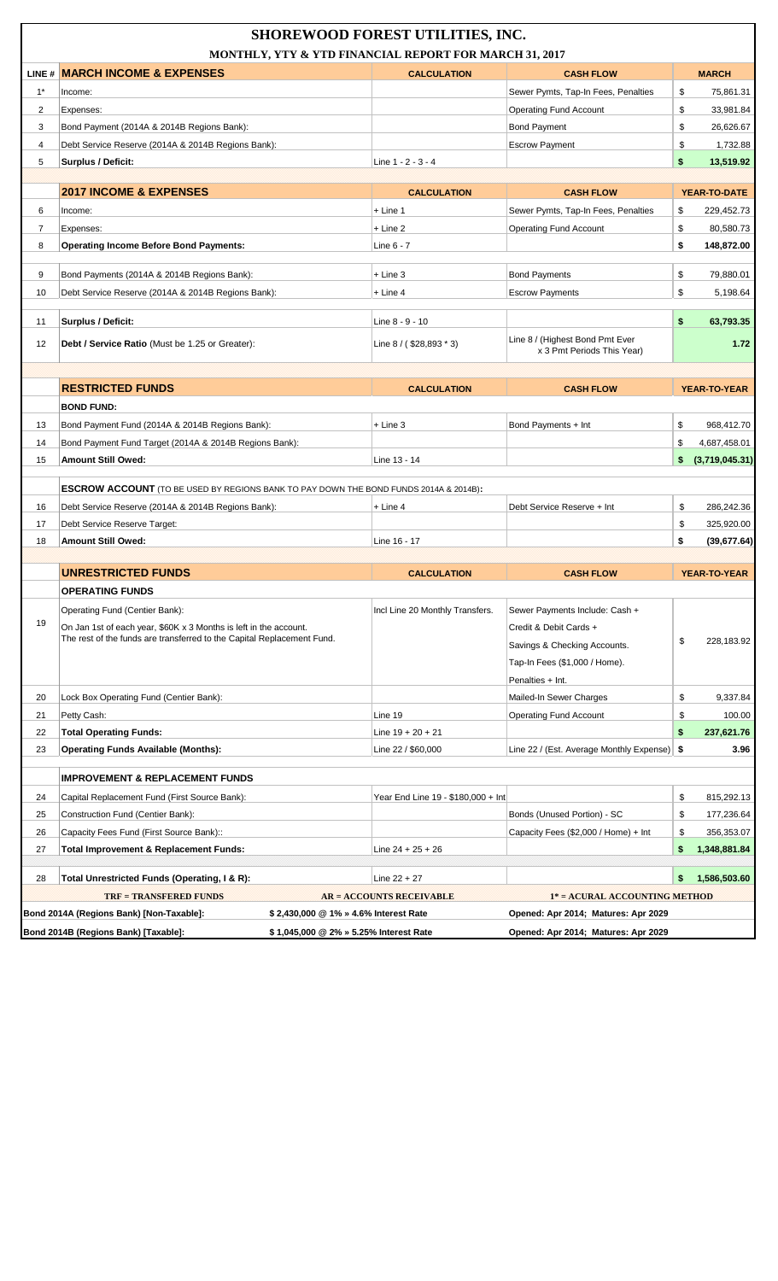|       |                                                                                              | <b>SHOREWOOD FOREST UTILITIES, INC.</b><br>MONTHLY, YTY & YTD FINANCIAL REPORT FOR MARCH 31, 2017 |                                                               |                      |
|-------|----------------------------------------------------------------------------------------------|---------------------------------------------------------------------------------------------------|---------------------------------------------------------------|----------------------|
|       | LINE # MARCH INCOME & EXPENSES                                                               | <b>CALCULATION</b>                                                                                | <b>CASH FLOW</b>                                              | <b>MARCH</b>         |
| $1^*$ | Income:                                                                                      |                                                                                                   | Sewer Pymts, Tap-In Fees, Penalties                           | \$<br>75,861.31      |
| 2     | Expenses:                                                                                    |                                                                                                   | <b>Operating Fund Account</b>                                 | \$<br>33,981.84      |
| 3     | Bond Payment (2014A & 2014B Regions Bank):                                                   |                                                                                                   | <b>Bond Payment</b>                                           | \$<br>26,626.67      |
| 4     | Debt Service Reserve (2014A & 2014B Regions Bank):                                           |                                                                                                   | <b>Escrow Payment</b>                                         | \$<br>1,732.88       |
| 5     | <b>Surplus / Deficit:</b>                                                                    | Line 1 - 2 - 3 - 4                                                                                |                                                               | \$<br>13.519.92      |
|       |                                                                                              |                                                                                                   |                                                               |                      |
|       | <b>2017 INCOME &amp; EXPENSES</b>                                                            | <b>CALCULATION</b>                                                                                | <b>CASH FLOW</b>                                              | YEAR-TO-DATE         |
| 6     | Income:                                                                                      | + Line 1                                                                                          | Sewer Pymts, Tap-In Fees, Penalties                           | \$<br>229,452.73     |
| 7     | Expenses:                                                                                    | $+$ Line 2                                                                                        | <b>Operating Fund Account</b>                                 | \$<br>80,580.73      |
| 8     | <b>Operating Income Before Bond Payments:</b>                                                | Line 6 - 7                                                                                        |                                                               | \$<br>148,872.00     |
| 9     | Bond Payments (2014A & 2014B Regions Bank):                                                  | $+$ Line 3                                                                                        | <b>Bond Payments</b>                                          | \$<br>79,880.01      |
| 10    | Debt Service Reserve (2014A & 2014B Regions Bank):                                           | $+$ Line 4                                                                                        | <b>Escrow Payments</b>                                        | \$<br>5,198.64       |
|       |                                                                                              |                                                                                                   |                                                               |                      |
| 11    | Surplus / Deficit:                                                                           | Line 8 - 9 - 10                                                                                   |                                                               | \$<br>63,793.35      |
| 12    | <b>Debt / Service Ratio</b> (Must be 1.25 or Greater):                                       | Line 8 / (\$28,893 * 3)                                                                           | Line 8 / (Highest Bond Pmt Ever<br>x 3 Pmt Periods This Year) | 1.72                 |
|       |                                                                                              |                                                                                                   |                                                               |                      |
|       | <b>RESTRICTED FUNDS</b>                                                                      | <b>CALCULATION</b>                                                                                | <b>CASH FLOW</b>                                              | <b>YEAR-TO-YEAR</b>  |
|       | <b>BOND FUND:</b>                                                                            |                                                                                                   |                                                               |                      |
| 13    | Bond Payment Fund (2014A & 2014B Regions Bank):                                              | $+$ Line 3                                                                                        | Bond Payments + Int                                           | \$<br>968,412.70     |
| 14    | Bond Payment Fund Target (2014A & 2014B Regions Bank):                                       |                                                                                                   |                                                               | \$<br>4,687,458.01   |
| 15    | <b>Amount Still Owed:</b>                                                                    | Line 13 - 14                                                                                      |                                                               | \$<br>(3,719,045.31) |
|       |                                                                                              |                                                                                                   |                                                               |                      |
|       | <b>ESCROW ACCOUNT</b> (TO BE USED BY REGIONS BANK TO PAY DOWN THE BOND FUNDS 2014A & 2014B): |                                                                                                   |                                                               |                      |
| 16    | Debt Service Reserve (2014A & 2014B Regions Bank):                                           | $+$ Line 4                                                                                        | Debt Service Reserve + Int                                    | \$<br>286,242.36     |
| 17    | Debt Service Reserve Target:                                                                 |                                                                                                   |                                                               | \$<br>325,920.00     |
| 18    | Amount Still Owed:                                                                           | Line 16 - 17                                                                                      |                                                               | \$<br>(39,677.64)    |
|       |                                                                                              |                                                                                                   |                                                               |                      |
|       | <b>UNRESTRICTED FUNDS</b>                                                                    | <b>CALCULATION</b>                                                                                | <b>CASH FLOW</b>                                              | YEAR-TO-YEAR         |
|       | OPERATING FUNDS                                                                              |                                                                                                   |                                                               |                      |
|       | Operating Fund (Centier Bank):                                                               | Incl Line 20 Monthly Transfers.                                                                   | Sewer Payments Include: Cash +                                |                      |
| 19    | On Jan 1st of each year, \$60K x 3 Months is left in the account.                            |                                                                                                   | Credit & Debit Cards +                                        |                      |
|       | The rest of the funds are transferred to the Capital Replacement Fund.                       |                                                                                                   | Savings & Checking Accounts.                                  | \$<br>228,183.92     |
|       |                                                                                              |                                                                                                   | Tap-In Fees (\$1,000 / Home).                                 |                      |
|       |                                                                                              |                                                                                                   | Penalties + Int.                                              |                      |
| 20    | Lock Box Operating Fund (Centier Bank):                                                      |                                                                                                   | Mailed-In Sewer Charges                                       | \$<br>9,337.84       |
| 21    | Petty Cash:                                                                                  | Line 19                                                                                           | <b>Operating Fund Account</b>                                 | \$<br>100.00         |
| 22    | <b>Total Operating Funds:</b>                                                                | Line 19 + 20 + 21                                                                                 |                                                               | \$<br>237,621.76     |
| 23    | <b>Operating Funds Available (Months):</b>                                                   | Line 22 / \$60,000                                                                                | Line 22 / (Est. Average Monthly Expense)   \$                 | 3.96                 |
|       | <b>IMPROVEMENT &amp; REPLACEMENT FUNDS</b>                                                   |                                                                                                   |                                                               |                      |
| 24    | Capital Replacement Fund (First Source Bank):                                                | Year End Line 19 - \$180,000 + Int                                                                |                                                               | \$<br>815,292.13     |
| 25    | Construction Fund (Centier Bank):                                                            |                                                                                                   | Bonds (Unused Portion) - SC                                   | \$<br>177,236.64     |
| 26    | Capacity Fees Fund (First Source Bank)::                                                     |                                                                                                   | Capacity Fees (\$2,000 / Home) + Int                          | \$<br>356,353.07     |
| 27    | <b>Total Improvement &amp; Replacement Funds:</b>                                            | Line $24 + 25 + 26$                                                                               |                                                               | \$<br>1,348,881.84   |
|       |                                                                                              |                                                                                                   |                                                               |                      |
| 28    | Total Unrestricted Funds (Operating, I & R):                                                 | Line $22 + 27$                                                                                    |                                                               | \$<br>1,586,503.60   |
|       | <b>TRF = TRANSFERED FUNDS</b>                                                                | <b>AR = ACCOUNTS RECEIVABLE</b>                                                                   | 1* = ACURAL ACCOUNTING METHOD                                 |                      |
|       | Bond 2014A (Regions Bank) [Non-Taxable]:                                                     | \$2,430,000 @ 1% » 4.6% Interest Rate                                                             | Opened: Apr 2014; Matures: Apr 2029                           |                      |
|       | Bond 2014B (Regions Bank) [Taxable]:                                                         | \$1,045,000 @ 2% » 5.25% Interest Rate                                                            | Opened: Apr 2014; Matures: Apr 2029                           |                      |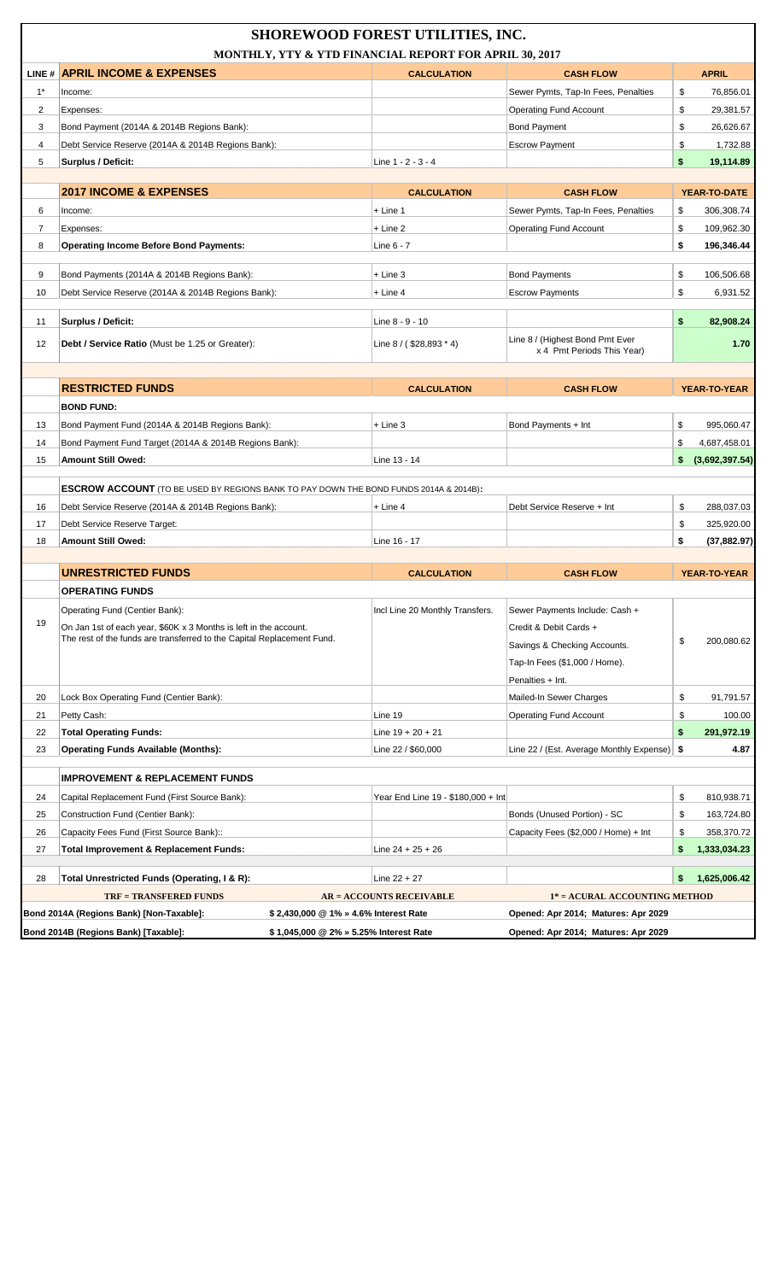|       |                                                                                              | <b>SHOREWOOD FOREST UTILITIES, INC.</b><br>MONTHLY, YTY & YTD FINANCIAL REPORT FOR APRIL 30, 2017 |                                                               |                      |
|-------|----------------------------------------------------------------------------------------------|---------------------------------------------------------------------------------------------------|---------------------------------------------------------------|----------------------|
|       | LINE # APRIL INCOME & EXPENSES                                                               | <b>CALCULATION</b>                                                                                | <b>CASH FLOW</b>                                              | <b>APRIL</b>         |
| $1^*$ | Income:                                                                                      |                                                                                                   | Sewer Pymts, Tap-In Fees, Penalties                           | \$<br>76,856.01      |
| 2     | Expenses:                                                                                    |                                                                                                   | <b>Operating Fund Account</b>                                 | \$<br>29,381.57      |
| 3     | Bond Payment (2014A & 2014B Regions Bank):                                                   |                                                                                                   | <b>Bond Payment</b>                                           | \$<br>26,626.67      |
| 4     | Debt Service Reserve (2014A & 2014B Regions Bank):                                           |                                                                                                   | <b>Escrow Payment</b>                                         | \$<br>1,732.88       |
| 5     | <b>Surplus / Deficit:</b>                                                                    | Line 1 - 2 - 3 - 4                                                                                |                                                               | \$<br>19,114.89      |
|       |                                                                                              |                                                                                                   |                                                               |                      |
|       | <b>2017 INCOME &amp; EXPENSES</b>                                                            | <b>CALCULATION</b>                                                                                | <b>CASH FLOW</b>                                              | YEAR-TO-DATE         |
| 6     | Income:                                                                                      | $+$ Line 1                                                                                        | Sewer Pymts, Tap-In Fees, Penalties                           | 306,308.74<br>\$     |
| 7     | Expenses:                                                                                    | $+$ Line 2                                                                                        | <b>Operating Fund Account</b>                                 | \$<br>109,962.30     |
| 8     | <b>Operating Income Before Bond Payments:</b>                                                | Line 6 - 7                                                                                        |                                                               | \$<br>196,346.44     |
| 9     | Bond Payments (2014A & 2014B Regions Bank):                                                  | $+$ Line 3                                                                                        | <b>Bond Payments</b>                                          | \$<br>106,506.68     |
|       |                                                                                              | $+$ Line 4                                                                                        |                                                               | \$                   |
| 10    | Debt Service Reserve (2014A & 2014B Regions Bank):                                           |                                                                                                   | <b>Escrow Payments</b>                                        | 6,931.52             |
| 11    | Surplus / Deficit:                                                                           | Line 8 - 9 - 10                                                                                   |                                                               | \$<br>82,908.24      |
| 12    | <b>Debt / Service Ratio</b> (Must be 1.25 or Greater):                                       | Line $8 / ( $28,893 * 4)$                                                                         | Line 8 / (Highest Bond Pmt Ever<br>x 4 Pmt Periods This Year) | 1.70                 |
|       |                                                                                              |                                                                                                   |                                                               |                      |
|       | <b>RESTRICTED FUNDS</b>                                                                      | <b>CALCULATION</b>                                                                                | <b>CASH FLOW</b>                                              | <b>YEAR-TO-YEAR</b>  |
|       | <b>BOND FUND:</b>                                                                            |                                                                                                   |                                                               |                      |
| 13    | Bond Payment Fund (2014A & 2014B Regions Bank):                                              | $+$ Line 3                                                                                        | Bond Payments + Int                                           | \$<br>995,060.47     |
| 14    | Bond Payment Fund Target (2014A & 2014B Regions Bank):                                       |                                                                                                   |                                                               | \$<br>4,687,458.01   |
| 15    | Amount Still Owed:                                                                           | Line 13 - 14                                                                                      |                                                               | (3,692,397.54)<br>\$ |
|       | <b>ESCROW ACCOUNT</b> (TO BE USED BY REGIONS BANK TO PAY DOWN THE BOND FUNDS 2014A & 2014B): |                                                                                                   |                                                               |                      |
| 16    | Debt Service Reserve (2014A & 2014B Regions Bank):                                           | $+$ Line 4                                                                                        | Debt Service Reserve + Int                                    | \$<br>288,037.03     |
| 17    | Debt Service Reserve Target:                                                                 |                                                                                                   |                                                               | \$<br>325,920.00     |
| 18    | Amount Still Owed:                                                                           | Line 16 - 17                                                                                      |                                                               | \$<br>(37, 882.97)   |
|       |                                                                                              |                                                                                                   |                                                               |                      |
|       | <b>UNRESTRICTED FUNDS</b>                                                                    | <b>CALCULATION</b>                                                                                | <b>CASH FLOW</b>                                              | <b>YEAR-TO-YEAR</b>  |
|       | <b>OPERATING FUNDS</b>                                                                       |                                                                                                   |                                                               |                      |
|       | Operating Fund (Centier Bank):                                                               | Incl Line 20 Monthly Transfers.                                                                   | Sewer Payments Include: Cash +                                |                      |
| 19    | On Jan 1st of each year, \$60K x 3 Months is left in the account.                            |                                                                                                   | Credit & Debit Cards +                                        |                      |
|       | The rest of the funds are transferred to the Capital Replacement Fund.                       |                                                                                                   | Savings & Checking Accounts.                                  | \$<br>200,080.62     |
|       |                                                                                              |                                                                                                   | Tap-In Fees (\$1,000 / Home).                                 |                      |
|       |                                                                                              |                                                                                                   | Penalties + Int.                                              |                      |
| 20    | Lock Box Operating Fund (Centier Bank):                                                      |                                                                                                   | Mailed-In Sewer Charges                                       | \$<br>91,791.57      |
| 21    | Petty Cash:                                                                                  | Line 19                                                                                           | <b>Operating Fund Account</b>                                 | \$<br>100.00         |
| 22    | <b>Total Operating Funds:</b>                                                                | Line $19 + 20 + 21$                                                                               |                                                               | \$<br>291,972.19     |
| 23    | <b>Operating Funds Available (Months):</b>                                                   | Line 22 / \$60,000                                                                                | Line 22 / (Est. Average Monthly Expense)   \$                 | 4.87                 |
|       |                                                                                              |                                                                                                   |                                                               |                      |
|       | <b>IMPROVEMENT &amp; REPLACEMENT FUNDS</b>                                                   |                                                                                                   |                                                               |                      |
| 24    | Capital Replacement Fund (First Source Bank):                                                | Year End Line 19 - \$180,000 + Int                                                                |                                                               | \$<br>810,938.71     |
| 25    | Construction Fund (Centier Bank):                                                            |                                                                                                   | Bonds (Unused Portion) - SC                                   | \$<br>163,724.80     |
| 26    | Capacity Fees Fund (First Source Bank)::                                                     |                                                                                                   | Capacity Fees (\$2,000 / Home) + Int                          | \$<br>358,370.72     |
| 27    | <b>Total Improvement &amp; Replacement Funds:</b>                                            | Line $24 + 25 + 26$                                                                               |                                                               | \$<br>1,333,034.23   |
| 28    | Total Unrestricted Funds (Operating, I & R):                                                 | Line $22 + 27$                                                                                    |                                                               | 1,625,006.42<br>\$   |
|       | <b>TRF = TRANSFERED FUNDS</b>                                                                | <b>AR = ACCOUNTS RECEIVABLE</b>                                                                   | 1* = ACURAL ACCOUNTING METHOD                                 |                      |
|       | Bond 2014A (Regions Bank) [Non-Taxable]:                                                     | \$2,430,000 @ 1% » 4.6% Interest Rate                                                             | Opened: Apr 2014; Matures: Apr 2029                           |                      |
|       | Bond 2014B (Regions Bank) [Taxable]:                                                         | \$1,045,000 @ 2% » 5.25% Interest Rate                                                            | Opened: Apr 2014; Matures: Apr 2029                           |                      |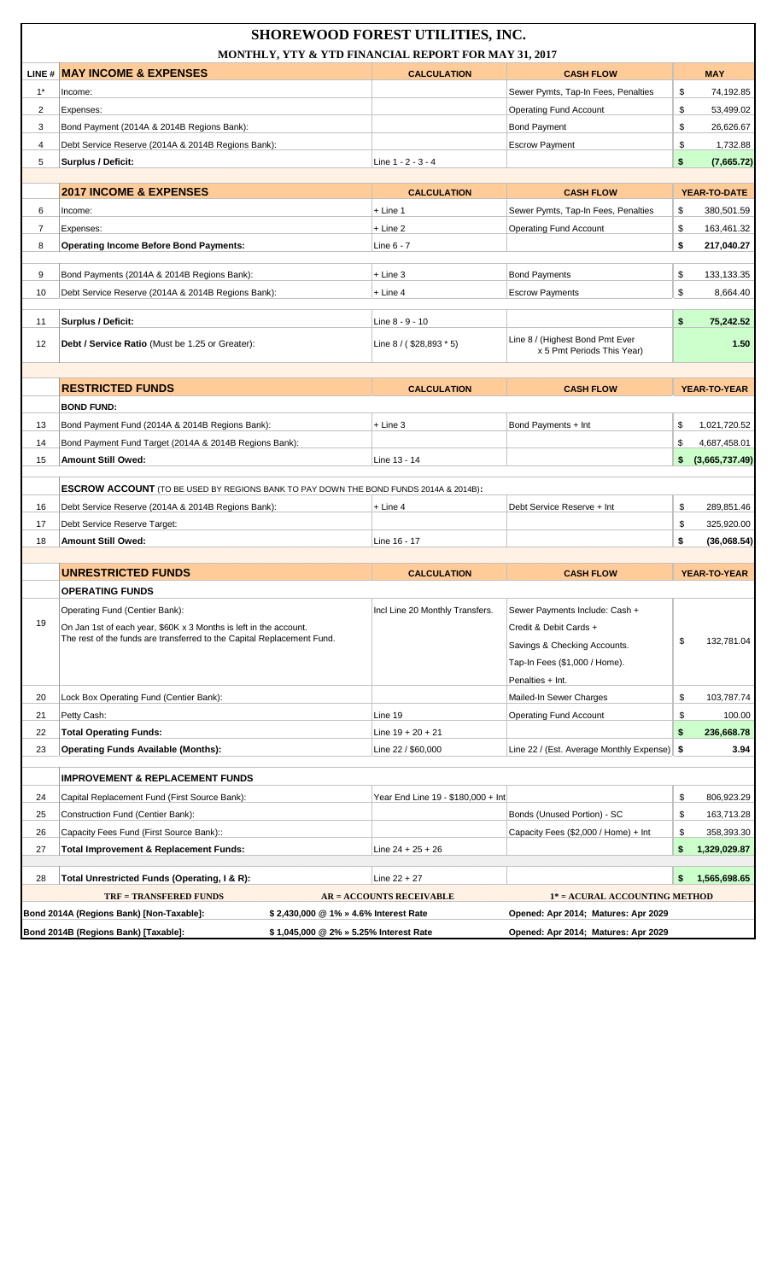|                |                                                                                              | <b>SHOREWOOD FOREST UTILITIES, INC.</b><br>MONTHLY, YTY & YTD FINANCIAL REPORT FOR MAY 31, 2017 |                                                                      |                      |
|----------------|----------------------------------------------------------------------------------------------|-------------------------------------------------------------------------------------------------|----------------------------------------------------------------------|----------------------|
|                | <b>LINE # MAY INCOME &amp; EXPENSES</b>                                                      | <b>CALCULATION</b>                                                                              | <b>CASH FLOW</b>                                                     | <b>MAY</b>           |
| $1^*$          | Income:                                                                                      |                                                                                                 | Sewer Pymts, Tap-In Fees, Penalties                                  | \$<br>74,192.85      |
| 2              | Expenses:                                                                                    |                                                                                                 | <b>Operating Fund Account</b>                                        | \$<br>53,499.02      |
| 3              | Bond Payment (2014A & 2014B Regions Bank):                                                   |                                                                                                 | <b>Bond Payment</b>                                                  | \$<br>26,626.67      |
| 4              | Debt Service Reserve (2014A & 2014B Regions Bank):                                           |                                                                                                 | <b>Escrow Payment</b>                                                | \$<br>1,732.88       |
| 5              | <b>Surplus / Deficit:</b>                                                                    | Line 1 - 2 - 3 - 4                                                                              |                                                                      | \$<br>(7,665.72)     |
|                |                                                                                              |                                                                                                 |                                                                      |                      |
|                | <b>2017 INCOME &amp; EXPENSES</b>                                                            | <b>CALCULATION</b>                                                                              | <b>CASH FLOW</b>                                                     | <b>YEAR-TO-DATE</b>  |
| 6              | Income:                                                                                      | $+$ Line 1                                                                                      | Sewer Pymts, Tap-In Fees, Penalties                                  | \$<br>380,501.59     |
| $\overline{7}$ | Expenses:                                                                                    | $+$ Line 2                                                                                      | <b>Operating Fund Account</b>                                        | \$<br>163,461.32     |
| 8              | <b>Operating Income Before Bond Payments:</b>                                                | Line 6 - 7                                                                                      |                                                                      | \$<br>217,040.27     |
| 9              | Bond Payments (2014A & 2014B Regions Bank):                                                  | + Line 3                                                                                        | <b>Bond Payments</b>                                                 | \$<br>133,133.35     |
| 10             | Debt Service Reserve (2014A & 2014B Regions Bank):                                           | $+$ Line 4                                                                                      | <b>Escrow Payments</b>                                               | \$<br>8,664.40       |
|                |                                                                                              |                                                                                                 |                                                                      |                      |
| 11             | Surplus / Deficit:                                                                           | Line 8 - 9 - 10                                                                                 |                                                                      | \$<br>75,242.52      |
| 12             | <b>Debt / Service Ratio</b> (Must be 1.25 or Greater):                                       | Line $8 / ( $28,893 * 5)$                                                                       | Line 8 / (Highest Bond Pmt Ever<br>x 5 Pmt Periods This Year)        | 1.50                 |
|                |                                                                                              |                                                                                                 |                                                                      |                      |
|                | <b>RESTRICTED FUNDS</b>                                                                      | <b>CALCULATION</b>                                                                              | <b>CASH FLOW</b>                                                     | <b>YEAR-TO-YEAR</b>  |
|                | <b>BOND FUND:</b>                                                                            |                                                                                                 |                                                                      |                      |
| 13             | Bond Payment Fund (2014A & 2014B Regions Bank):                                              | $+$ Line 3                                                                                      | Bond Payments + Int                                                  | \$<br>1,021,720.52   |
| 14             | Bond Payment Fund Target (2014A & 2014B Regions Bank):                                       |                                                                                                 |                                                                      | \$<br>4,687,458.01   |
| 15             | <b>Amount Still Owed:</b>                                                                    | Line 13 - 14                                                                                    |                                                                      | \$<br>(3,665,737.49) |
|                |                                                                                              |                                                                                                 |                                                                      |                      |
|                | <b>ESCROW ACCOUNT</b> (TO BE USED BY REGIONS BANK TO PAY DOWN THE BOND FUNDS 2014A & 2014B): |                                                                                                 |                                                                      |                      |
| 16             | Debt Service Reserve (2014A & 2014B Regions Bank):                                           | $+$ Line 4                                                                                      | Debt Service Reserve + Int                                           | \$<br>289,851.46     |
| 17             | Debt Service Reserve Target:                                                                 |                                                                                                 |                                                                      | \$<br>325,920.00     |
| 18             | Amount Still Owed:                                                                           | Line 16 - 17                                                                                    |                                                                      | \$<br>(36,068.54)    |
|                | <b>UNRESTRICTED FUNDS</b>                                                                    | <b>CALCULATION</b>                                                                              | <b>CASH FLOW</b>                                                     | <b>YEAR-TO-YEAR</b>  |
|                | <b>OPERATING FUNDS</b>                                                                       |                                                                                                 |                                                                      |                      |
|                | Operating Fund (Centier Bank):                                                               | Incl Line 20 Monthly Transfers.                                                                 | Sewer Payments Include: Cash +                                       |                      |
| 19             | On Jan 1st of each year, \$60K x 3 Months is left in the account.                            |                                                                                                 | Credit & Debit Cards +                                               |                      |
|                | The rest of the funds are transferred to the Capital Replacement Fund.                       |                                                                                                 | Savings & Checking Accounts.                                         | \$<br>132,781.04     |
|                |                                                                                              |                                                                                                 | Tap-In Fees (\$1,000 / Home).                                        |                      |
|                |                                                                                              |                                                                                                 | Penalties + Int.                                                     |                      |
| 20             | Lock Box Operating Fund (Centier Bank):                                                      |                                                                                                 | Mailed-In Sewer Charges                                              | \$<br>103,787.74     |
| 21             | Petty Cash:                                                                                  | Line 19                                                                                         | <b>Operating Fund Account</b>                                        | \$<br>100.00         |
| 22             | <b>Total Operating Funds:</b>                                                                | Line $19 + 20 + 21$                                                                             |                                                                      | \$<br>236,668.78     |
| 23             | <b>Operating Funds Available (Months):</b>                                                   | Line 22 / \$60,000                                                                              | Line 22 / (Est. Average Monthly Expense) \$                          | 3.94                 |
|                |                                                                                              |                                                                                                 |                                                                      |                      |
|                | <b>IMPROVEMENT &amp; REPLACEMENT FUNDS</b>                                                   |                                                                                                 |                                                                      |                      |
| 24             | Capital Replacement Fund (First Source Bank):                                                | Year End Line 19 - \$180,000 + Int                                                              |                                                                      | \$<br>806,923.29     |
| 25             | Construction Fund (Centier Bank):                                                            |                                                                                                 | Bonds (Unused Portion) - SC                                          | \$<br>163,713.28     |
| 26             | Capacity Fees Fund (First Source Bank)::                                                     |                                                                                                 | Capacity Fees (\$2,000 / Home) + Int                                 | \$<br>358,393.30     |
| 27             | <b>Total Improvement &amp; Replacement Funds:</b>                                            | Line 24 + 25 + 26                                                                               |                                                                      | \$<br>1,329,029.87   |
|                |                                                                                              |                                                                                                 |                                                                      | \$                   |
| 28             | Total Unrestricted Funds (Operating, I & R):<br><b>TRF = TRANSFERED FUNDS</b>                | Line $22 + 27$                                                                                  |                                                                      | 1,565,698.65         |
|                | Bond 2014A (Regions Bank) [Non-Taxable]:                                                     | <b>AR = ACCOUNTS RECEIVABLE</b><br>\$2,430,000 @ 1% » 4.6% Interest Rate                        | 1* = ACURAL ACCOUNTING METHOD<br>Opened: Apr 2014; Matures: Apr 2029 |                      |
|                | Bond 2014B (Regions Bank) [Taxable]:                                                         | \$1,045,000 @ 2% » 5.25% Interest Rate                                                          | Opened: Apr 2014; Matures: Apr 2029                                  |                      |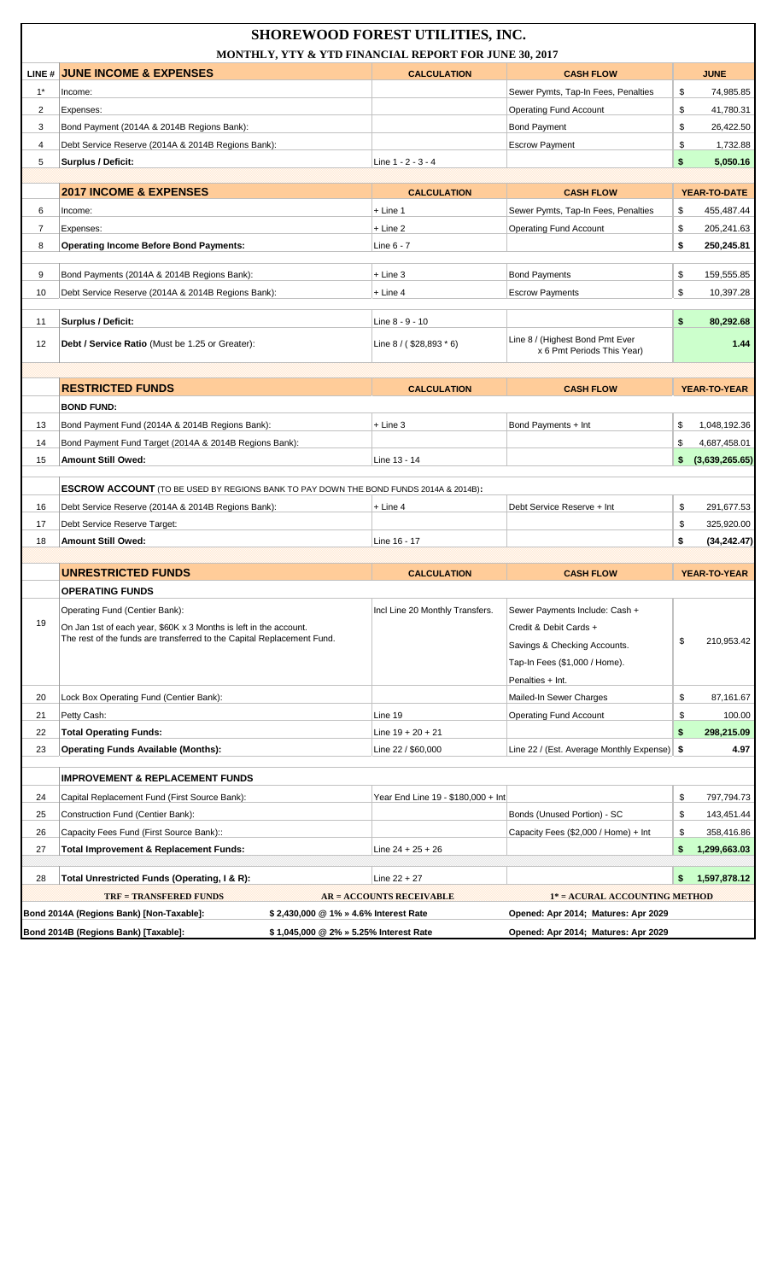|       |                                                                                                                                             | <b>SHOREWOOD FOREST UTILITIES, INC.</b><br>MONTHLY, YTY & YTD FINANCIAL REPORT FOR JUNE 30, 2017 |                                                               |                      |
|-------|---------------------------------------------------------------------------------------------------------------------------------------------|--------------------------------------------------------------------------------------------------|---------------------------------------------------------------|----------------------|
|       | LINE # JUNE INCOME & EXPENSES                                                                                                               | <b>CALCULATION</b>                                                                               | <b>CASH FLOW</b>                                              | <b>JUNE</b>          |
| $1^*$ | Income:                                                                                                                                     |                                                                                                  | Sewer Pymts, Tap-In Fees, Penalties                           | \$<br>74,985.85      |
| 2     | Expenses:                                                                                                                                   |                                                                                                  | <b>Operating Fund Account</b>                                 | \$<br>41,780.31      |
| 3     | Bond Payment (2014A & 2014B Regions Bank):                                                                                                  |                                                                                                  | <b>Bond Payment</b>                                           | \$<br>26,422.50      |
| 4     | Debt Service Reserve (2014A & 2014B Regions Bank):                                                                                          |                                                                                                  | <b>Escrow Payment</b>                                         | \$<br>1,732.88       |
| 5     | <b>Surplus / Deficit:</b>                                                                                                                   | Line 1 - 2 - 3 - 4                                                                               |                                                               | \$<br>5,050.16       |
|       |                                                                                                                                             |                                                                                                  |                                                               |                      |
|       | <b>2017 INCOME &amp; EXPENSES</b>                                                                                                           | <b>CALCULATION</b>                                                                               | <b>CASH FLOW</b>                                              | YEAR-TO-DATE         |
| 6     | Income:                                                                                                                                     | $+$ Line 1                                                                                       | Sewer Pymts, Tap-In Fees, Penalties                           | \$<br>455,487.44     |
| 7     | Expenses:                                                                                                                                   | $+$ Line 2                                                                                       | <b>Operating Fund Account</b>                                 | \$<br>205,241.63     |
| 8     | <b>Operating Income Before Bond Payments:</b>                                                                                               | Line 6 - 7                                                                                       |                                                               | \$<br>250,245.81     |
|       |                                                                                                                                             |                                                                                                  |                                                               |                      |
| 9     | Bond Payments (2014A & 2014B Regions Bank):                                                                                                 | + Line 3                                                                                         | <b>Bond Payments</b>                                          | \$<br>159,555.85     |
| 10    | Debt Service Reserve (2014A & 2014B Regions Bank):                                                                                          | $+$ Line 4                                                                                       | <b>Escrow Payments</b>                                        | \$<br>10,397.28      |
| 11    | Surplus / Deficit:                                                                                                                          | Line 8 - 9 - 10                                                                                  |                                                               | \$<br>80,292.68      |
| 12    | Debt / Service Ratio (Must be 1.25 or Greater):                                                                                             | Line $8 / ( $28,893 * 6)$                                                                        | Line 8 / (Highest Bond Pmt Ever<br>x 6 Pmt Periods This Year) | 1.44                 |
|       |                                                                                                                                             |                                                                                                  |                                                               |                      |
|       | <b>RESTRICTED FUNDS</b>                                                                                                                     | <b>CALCULATION</b>                                                                               | <b>CASH FLOW</b>                                              | <b>YEAR-TO-YEAR</b>  |
|       | <b>BOND FUND:</b>                                                                                                                           |                                                                                                  |                                                               |                      |
| 13    | Bond Payment Fund (2014A & 2014B Regions Bank):                                                                                             | $+$ Line 3                                                                                       | Bond Payments + Int                                           | \$<br>1,048,192.36   |
| 14    | Bond Payment Fund Target (2014A & 2014B Regions Bank):                                                                                      |                                                                                                  |                                                               | \$<br>4,687,458.01   |
| 15    | Amount Still Owed:                                                                                                                          | Line 13 - 14                                                                                     |                                                               | \$<br>(3,639,265.65) |
|       |                                                                                                                                             |                                                                                                  |                                                               |                      |
|       | ESCROW ACCOUNT (TO BE USED BY REGIONS BANK TO PAY DOWN THE BOND FUNDS 2014A & 2014B):                                                       |                                                                                                  |                                                               |                      |
| 16    | Debt Service Reserve (2014A & 2014B Regions Bank):                                                                                          | $+$ Line 4                                                                                       | Debt Service Reserve + Int                                    | \$<br>291,677.53     |
| 17    | Debt Service Reserve Target:                                                                                                                |                                                                                                  |                                                               | \$<br>325,920.00     |
| 18    | Amount Still Owed:                                                                                                                          | Line 16 - 17                                                                                     |                                                               | \$<br>(34, 242.47)   |
|       |                                                                                                                                             |                                                                                                  |                                                               |                      |
|       | <b>UNRESTRICTED FUNDS</b>                                                                                                                   | <b>CALCULATION</b>                                                                               | <b>CASH FLOW</b>                                              | YEAR-TO-YEAR         |
|       | <b>OPERATING FUNDS</b>                                                                                                                      |                                                                                                  |                                                               |                      |
| 19    | Operating Fund (Centier Bank):                                                                                                              | Incl Line 20 Monthly Transfers.                                                                  | Sewer Payments Include: Cash +                                |                      |
|       | On Jan 1st of each year, \$60K x 3 Months is left in the account.<br>The rest of the funds are transferred to the Capital Replacement Fund. |                                                                                                  | Credit & Debit Cards +                                        | \$<br>210,953.42     |
|       |                                                                                                                                             |                                                                                                  | Savings & Checking Accounts.                                  |                      |
|       |                                                                                                                                             |                                                                                                  | Tap-In Fees (\$1,000 / Home).                                 |                      |
|       |                                                                                                                                             |                                                                                                  | Penalties + Int.                                              |                      |
| 20    | Lock Box Operating Fund (Centier Bank):                                                                                                     |                                                                                                  | Mailed-In Sewer Charges                                       | \$<br>87,161.67      |
| 21    | Petty Cash:                                                                                                                                 | Line 19                                                                                          | <b>Operating Fund Account</b>                                 | \$<br>100.00         |
| 22    | <b>Total Operating Funds:</b>                                                                                                               | Line $19 + 20 + 21$                                                                              |                                                               | \$<br>298,215.09     |
| 23    | <b>Operating Funds Available (Months):</b>                                                                                                  | Line 22 / \$60,000                                                                               | Line 22 / (Est. Average Monthly Expense)   \$                 | 4.97                 |
|       | <b>IMPROVEMENT &amp; REPLACEMENT FUNDS</b>                                                                                                  |                                                                                                  |                                                               |                      |
| 24    | Capital Replacement Fund (First Source Bank):                                                                                               | Year End Line 19 - \$180,000 + Int                                                               |                                                               | \$<br>797,794.73     |
| 25    | Construction Fund (Centier Bank):                                                                                                           |                                                                                                  | Bonds (Unused Portion) - SC                                   | \$<br>143,451.44     |
| 26    | Capacity Fees Fund (First Source Bank)::                                                                                                    |                                                                                                  | Capacity Fees (\$2,000 / Home) + Int                          | \$<br>358,416.86     |
| 27    | <b>Total Improvement &amp; Replacement Funds:</b>                                                                                           | Line $24 + 25 + 26$                                                                              |                                                               | \$<br>1,299,663.03   |
|       |                                                                                                                                             |                                                                                                  |                                                               |                      |
| 28    | Total Unrestricted Funds (Operating, I & R):                                                                                                | Line $22 + 27$                                                                                   |                                                               | \$<br>1,597,878.12   |
|       | <b>TRF = TRANSFERED FUNDS</b>                                                                                                               | <b>AR = ACCOUNTS RECEIVABLE</b>                                                                  | 1* = ACURAL ACCOUNTING METHOD                                 |                      |
|       | Bond 2014A (Regions Bank) [Non-Taxable]:                                                                                                    | \$2,430,000 @ 1% » 4.6% Interest Rate                                                            | Opened: Apr 2014; Matures: Apr 2029                           |                      |
|       | Bond 2014B (Regions Bank) [Taxable]:                                                                                                        | \$1,045,000 @ 2% » 5.25% Interest Rate                                                           | Opened: Apr 2014; Matures: Apr 2029                           |                      |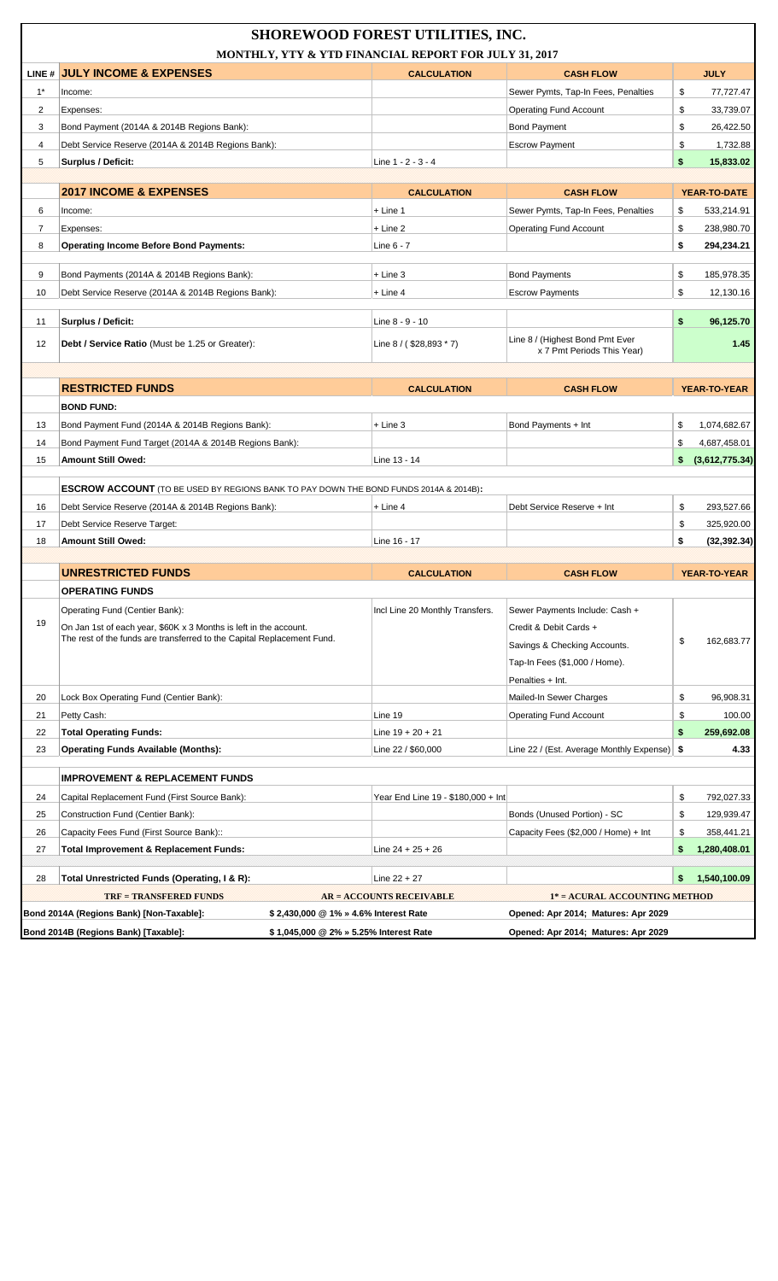|          |                                                                                       | <b>SHOREWOOD FOREST UTILITIES, INC.</b><br>MONTHLY, YTY & YTD FINANCIAL REPORT FOR JULY 31, 2017 |                                                                            |                                        |
|----------|---------------------------------------------------------------------------------------|--------------------------------------------------------------------------------------------------|----------------------------------------------------------------------------|----------------------------------------|
|          | LINE # JULY INCOME & EXPENSES                                                         | <b>CALCULATION</b>                                                                               | <b>CASH FLOW</b>                                                           | <b>JULY</b>                            |
| $1^*$    | Income:                                                                               |                                                                                                  | Sewer Pymts, Tap-In Fees, Penalties                                        | \$<br>77,727.47                        |
| 2        | Expenses:                                                                             |                                                                                                  | <b>Operating Fund Account</b>                                              | \$<br>33,739.07                        |
| 3        | Bond Payment (2014A & 2014B Regions Bank):                                            |                                                                                                  | <b>Bond Payment</b>                                                        | \$<br>26,422.50                        |
| 4        | Debt Service Reserve (2014A & 2014B Regions Bank):                                    |                                                                                                  | <b>Escrow Payment</b>                                                      | \$<br>1,732.88                         |
| 5        | <b>Surplus / Deficit:</b>                                                             | Line 1 - 2 - 3 - 4                                                                               |                                                                            | \$<br>15,833.02                        |
|          |                                                                                       |                                                                                                  |                                                                            |                                        |
|          | <b>2017 INCOME &amp; EXPENSES</b>                                                     | <b>CALCULATION</b>                                                                               | <b>CASH FLOW</b>                                                           | YEAR-TO-DATE                           |
| 6        | Income:                                                                               | $+$ Line 1                                                                                       | Sewer Pymts, Tap-In Fees, Penalties                                        | 533,214.91<br>\$                       |
| 7        | Expenses:                                                                             | $+$ Line 2                                                                                       | <b>Operating Fund Account</b>                                              | \$<br>238,980.70                       |
| 8        | <b>Operating Income Before Bond Payments:</b>                                         | Line 6 - 7                                                                                       |                                                                            | \$<br>294,234.21                       |
| 9        | Bond Payments (2014A & 2014B Regions Bank):                                           | + Line 3                                                                                         | <b>Bond Payments</b>                                                       | \$<br>185,978.35                       |
| 10       | Debt Service Reserve (2014A & 2014B Regions Bank):                                    | $+$ Line 4                                                                                       | <b>Escrow Payments</b>                                                     | \$<br>12,130.16                        |
|          |                                                                                       |                                                                                                  |                                                                            |                                        |
| 11       | Surplus / Deficit:                                                                    | Line 8 - 9 - 10                                                                                  |                                                                            | \$<br>96,125.70                        |
| 12       | Debt / Service Ratio (Must be 1.25 or Greater):                                       | Line 8 / (\$28,893 * 7)                                                                          | Line 8 / (Highest Bond Pmt Ever<br>x 7 Pmt Periods This Year)              | 1.45                                   |
|          |                                                                                       |                                                                                                  |                                                                            |                                        |
|          | <b>RESTRICTED FUNDS</b>                                                               | <b>CALCULATION</b>                                                                               | <b>CASH FLOW</b>                                                           | <b>YEAR-TO-YEAR</b>                    |
|          | <b>BOND FUND:</b>                                                                     |                                                                                                  |                                                                            |                                        |
| 13       | Bond Payment Fund (2014A & 2014B Regions Bank):                                       | $+$ Line 3                                                                                       | Bond Payments + Int                                                        | 1,074,682.67<br>\$                     |
| 14       | Bond Payment Fund Target (2014A & 2014B Regions Bank):                                |                                                                                                  |                                                                            | \$<br>4,687,458.01                     |
| 15       | Amount Still Owed:                                                                    | Line 13 - 14                                                                                     |                                                                            | (3,612,775.34)<br>\$                   |
|          |                                                                                       |                                                                                                  |                                                                            |                                        |
|          | ESCROW ACCOUNT (TO BE USED BY REGIONS BANK TO PAY DOWN THE BOND FUNDS 2014A & 2014B): |                                                                                                  |                                                                            |                                        |
| 16       | Debt Service Reserve (2014A & 2014B Regions Bank):                                    | $+$ Line 4                                                                                       | Debt Service Reserve + Int                                                 | \$<br>293,527.66                       |
| 17<br>18 | Debt Service Reserve Target:<br>Amount Still Owed:                                    | Line 16 - 17                                                                                     |                                                                            | \$<br>325,920.00<br>\$<br>(32, 392.34) |
|          |                                                                                       |                                                                                                  |                                                                            |                                        |
|          | <b>UNRESTRICTED FUNDS</b>                                                             | <b>CALCULATION</b>                                                                               | <b>CASH FLOW</b>                                                           | <b>YEAR-TO-YEAR</b>                    |
|          | <b>OPERATING FUNDS</b>                                                                |                                                                                                  |                                                                            |                                        |
|          | Operating Fund (Centier Bank):                                                        | Incl Line 20 Monthly Transfers.                                                                  | Sewer Payments Include: Cash +                                             |                                        |
| 19       | On Jan 1st of each year, \$60K x 3 Months is left in the account.                     |                                                                                                  | Credit & Debit Cards +                                                     |                                        |
|          | The rest of the funds are transferred to the Capital Replacement Fund.                |                                                                                                  | Savings & Checking Accounts.                                               | \$<br>162,683.77                       |
|          |                                                                                       |                                                                                                  | Tap-In Fees (\$1,000 / Home).                                              |                                        |
|          |                                                                                       |                                                                                                  | Penalties + Int.                                                           |                                        |
| 20       | Lock Box Operating Fund (Centier Bank):                                               |                                                                                                  | Mailed-In Sewer Charges                                                    | \$<br>96,908.31                        |
| 21       | Petty Cash:                                                                           | Line 19                                                                                          | <b>Operating Fund Account</b>                                              | \$<br>100.00                           |
| 22       | <b>Total Operating Funds:</b>                                                         | Line $19 + 20 + 21$                                                                              |                                                                            | \$<br>259,692.08                       |
| 23       | <b>Operating Funds Available (Months):</b>                                            | Line 22 / \$60,000                                                                               | Line 22 / (Est. Average Monthly Expense)   \$                              | 4.33                                   |
|          | <b>IMPROVEMENT &amp; REPLACEMENT FUNDS</b>                                            |                                                                                                  |                                                                            |                                        |
| 24       | Capital Replacement Fund (First Source Bank):                                         | Year End Line 19 - \$180,000 + Int                                                               |                                                                            | \$<br>792,027.33                       |
| 25       | Construction Fund (Centier Bank):                                                     |                                                                                                  | Bonds (Unused Portion) - SC                                                | \$<br>129,939.47                       |
| 26       | Capacity Fees Fund (First Source Bank)::                                              |                                                                                                  | Capacity Fees (\$2,000 / Home) + Int                                       | \$<br>358,441.21                       |
| 27       | <b>Total Improvement &amp; Replacement Funds:</b>                                     | Line $24 + 25 + 26$                                                                              |                                                                            | \$<br>1,280,408.01                     |
|          |                                                                                       |                                                                                                  |                                                                            |                                        |
| 28       | Total Unrestricted Funds (Operating, I & R):                                          | Line $22 + 27$                                                                                   |                                                                            | 1,540,100.09<br>\$                     |
|          | <b>TRF = TRANSFERED FUNDS</b>                                                         | <b>AR = ACCOUNTS RECEIVABLE</b>                                                                  | 1* = ACURAL ACCOUNTING METHOD                                              |                                        |
|          | Bond 2014A (Regions Bank) [Non-Taxable]:<br>Bond 2014B (Regions Bank) [Taxable]:      | \$2,430,000 @ 1% » 4.6% Interest Rate<br>\$1,045,000 @ 2% » 5.25% Interest Rate                  | Opened: Apr 2014; Matures: Apr 2029<br>Opened: Apr 2014; Matures: Apr 2029 |                                        |
|          |                                                                                       |                                                                                                  |                                                                            |                                        |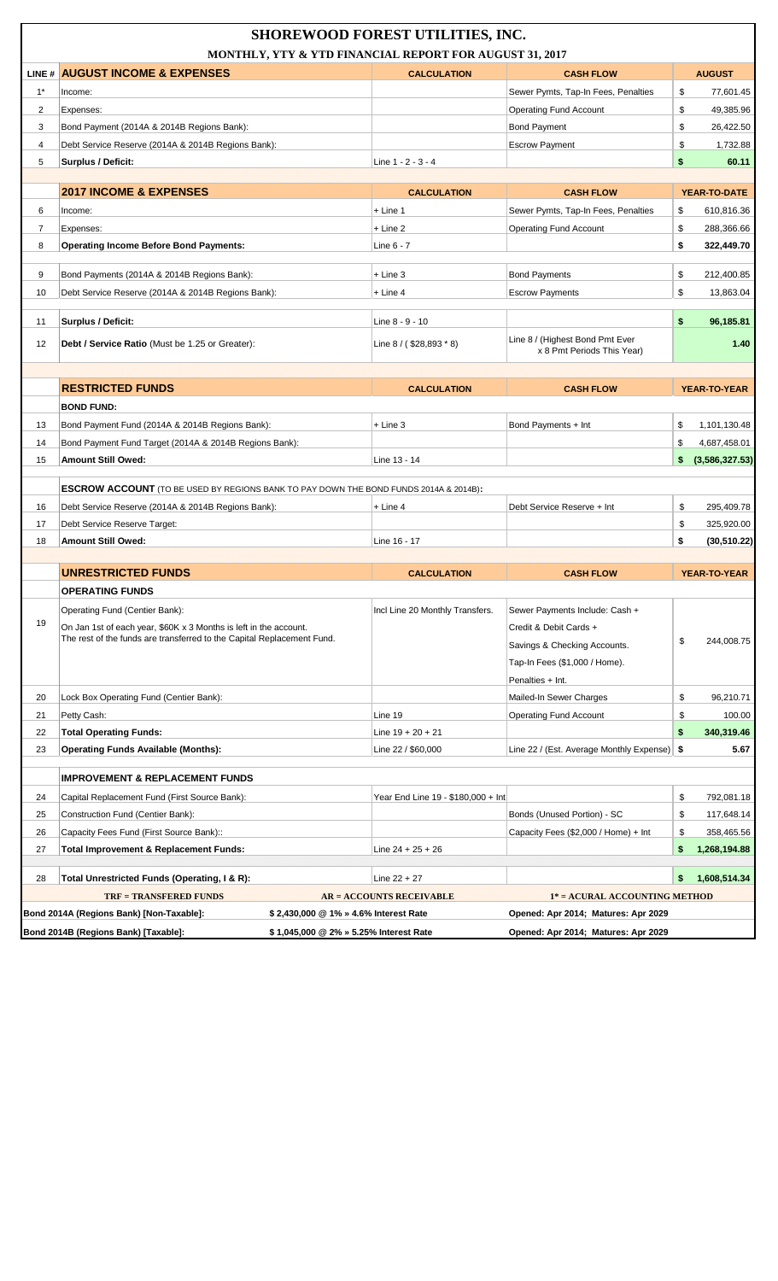|                |                                                                                                                                             | <b>SHOREWOOD FOREST UTILITIES, INC.</b><br>MONTHLY, YTY & YTD FINANCIAL REPORT FOR AUGUST 31, 2017 |                                                               |                      |
|----------------|---------------------------------------------------------------------------------------------------------------------------------------------|----------------------------------------------------------------------------------------------------|---------------------------------------------------------------|----------------------|
|                | LINE # AUGUST INCOME & EXPENSES                                                                                                             | <b>CALCULATION</b>                                                                                 | <b>CASH FLOW</b>                                              | <b>AUGUST</b>        |
| $1^*$          | Income:                                                                                                                                     |                                                                                                    | Sewer Pymts, Tap-In Fees, Penalties                           | \$<br>77,601.45      |
| 2              | Expenses:                                                                                                                                   |                                                                                                    | <b>Operating Fund Account</b>                                 | \$<br>49,385.96      |
| 3              | Bond Payment (2014A & 2014B Regions Bank):                                                                                                  |                                                                                                    | <b>Bond Payment</b>                                           | \$<br>26,422.50      |
| 4              | Debt Service Reserve (2014A & 2014B Regions Bank):                                                                                          |                                                                                                    | <b>Escrow Payment</b>                                         | \$<br>1,732.88       |
| 5              | <b>Surplus / Deficit:</b>                                                                                                                   | Line 1 - 2 - 3 - 4                                                                                 |                                                               | \$<br>60.11          |
|                |                                                                                                                                             |                                                                                                    |                                                               |                      |
|                | <b>2017 INCOME &amp; EXPENSES</b>                                                                                                           | <b>CALCULATION</b>                                                                                 | <b>CASH FLOW</b>                                              | YEAR-TO-DATE         |
| 6              | Income:                                                                                                                                     | $+$ Line 1                                                                                         | Sewer Pymts, Tap-In Fees, Penalties                           | \$<br>610,816.36     |
| $\overline{7}$ | Expenses:                                                                                                                                   | $+$ Line 2                                                                                         | <b>Operating Fund Account</b>                                 | \$<br>288,366.66     |
| 8              | <b>Operating Income Before Bond Payments:</b>                                                                                               | Line 6 - 7                                                                                         |                                                               | \$<br>322,449.70     |
| 9              | Bond Payments (2014A & 2014B Regions Bank):                                                                                                 | $+$ Line 3                                                                                         | <b>Bond Payments</b>                                          | \$<br>212,400.85     |
| 10             | Debt Service Reserve (2014A & 2014B Regions Bank):                                                                                          | $+$ Line 4                                                                                         | <b>Escrow Payments</b>                                        | \$<br>13,863.04      |
|                |                                                                                                                                             |                                                                                                    |                                                               |                      |
| 11             | Surplus / Deficit:                                                                                                                          | Line 8 - 9 - 10                                                                                    |                                                               | \$<br>96,185.81      |
| 12             | Debt / Service Ratio (Must be 1.25 or Greater):                                                                                             | Line 8 / (\$28,893 * 8)                                                                            | Line 8 / (Highest Bond Pmt Ever<br>x 8 Pmt Periods This Year) | 1.40                 |
|                |                                                                                                                                             |                                                                                                    |                                                               |                      |
|                | <b>RESTRICTED FUNDS</b>                                                                                                                     | <b>CALCULATION</b>                                                                                 | <b>CASH FLOW</b>                                              | YEAR-TO-YEAR         |
|                | <b>BOND FUND:</b>                                                                                                                           |                                                                                                    |                                                               |                      |
| 13             | Bond Payment Fund (2014A & 2014B Regions Bank):                                                                                             | $+$ Line 3                                                                                         | Bond Payments + Int                                           | \$<br>1,101,130.48   |
| 14             | Bond Payment Fund Target (2014A & 2014B Regions Bank):                                                                                      |                                                                                                    |                                                               | \$<br>4,687,458.01   |
| 15             | Amount Still Owed:                                                                                                                          | Line 13 - 14                                                                                       |                                                               | \$<br>(3,586,327.53) |
|                |                                                                                                                                             |                                                                                                    |                                                               |                      |
|                | <b>ESCROW ACCOUNT</b> (TO BE USED BY REGIONS BANK TO PAY DOWN THE BOND FUNDS 2014A & 2014B):                                                |                                                                                                    |                                                               |                      |
| 16             | Debt Service Reserve (2014A & 2014B Regions Bank):                                                                                          | + Line 4                                                                                           | Debt Service Reserve + Int                                    | \$<br>295,409.78     |
| 17             | Debt Service Reserve Target:                                                                                                                |                                                                                                    |                                                               | \$<br>325,920.00     |
| 18             | Amount Still Owed:                                                                                                                          | Line 16 - 17                                                                                       |                                                               | \$<br>(30, 510.22)   |
|                |                                                                                                                                             |                                                                                                    |                                                               |                      |
|                | <b>UNRESTRICTED FUNDS</b>                                                                                                                   | <b>CALCULATION</b>                                                                                 | <b>CASH FLOW</b>                                              | YEAR-TO-YEAR         |
|                | OPERATING FUNDS                                                                                                                             |                                                                                                    |                                                               |                      |
| 19             | Operating Fund (Centier Bank):                                                                                                              | Incl Line 20 Monthly Transfers.                                                                    | Sewer Payments Include: Cash +                                |                      |
|                | On Jan 1st of each year, \$60K x 3 Months is left in the account.<br>The rest of the funds are transferred to the Capital Replacement Fund. |                                                                                                    | Credit & Debit Cards +                                        | \$<br>244,008.75     |
|                |                                                                                                                                             |                                                                                                    | Savings & Checking Accounts.                                  |                      |
|                |                                                                                                                                             |                                                                                                    | Tap-In Fees (\$1,000 / Home).                                 |                      |
|                |                                                                                                                                             |                                                                                                    | Penalties + Int.                                              |                      |
| 20             | Lock Box Operating Fund (Centier Bank):                                                                                                     |                                                                                                    | Mailed-In Sewer Charges                                       | \$<br>96,210.71      |
| 21             | Petty Cash:                                                                                                                                 | Line 19                                                                                            | <b>Operating Fund Account</b>                                 | \$<br>100.00         |
| 22             | <b>Total Operating Funds:</b>                                                                                                               | Line $19 + 20 + 21$                                                                                |                                                               | \$<br>340,319.46     |
| 23             | <b>Operating Funds Available (Months):</b>                                                                                                  | Line 22 / \$60,000                                                                                 | Line 22 / (Est. Average Monthly Expense)   \$                 | 5.67                 |
|                | <b>IMPROVEMENT &amp; REPLACEMENT FUNDS</b>                                                                                                  |                                                                                                    |                                                               |                      |
| 24             | Capital Replacement Fund (First Source Bank):                                                                                               | Year End Line 19 - \$180,000 + Int                                                                 |                                                               | \$<br>792,081.18     |
| 25             | Construction Fund (Centier Bank):                                                                                                           |                                                                                                    | Bonds (Unused Portion) - SC                                   | \$<br>117,648.14     |
| 26             | Capacity Fees Fund (First Source Bank)::                                                                                                    |                                                                                                    | Capacity Fees (\$2,000 / Home) + Int                          | \$<br>358,465.56     |
| 27             | <b>Total Improvement &amp; Replacement Funds:</b>                                                                                           | Line $24 + 25 + 26$                                                                                |                                                               | \$<br>1,268,194.88   |
|                |                                                                                                                                             |                                                                                                    |                                                               |                      |
| 28             | Total Unrestricted Funds (Operating, I & R):                                                                                                | Line $22 + 27$                                                                                     |                                                               | \$<br>1,608,514.34   |
|                | <b>TRF = TRANSFERED FUNDS</b>                                                                                                               | <b>AR = ACCOUNTS RECEIVABLE</b>                                                                    | 1* = ACURAL ACCOUNTING METHOD                                 |                      |
|                | Bond 2014A (Regions Bank) [Non-Taxable]:<br>\$2,430,000 @ 1% » 4.6% Interest Rate                                                           |                                                                                                    | Opened: Apr 2014; Matures: Apr 2029                           |                      |
|                | Bond 2014B (Regions Bank) [Taxable]:                                                                                                        | \$1,045,000 @ 2% » 5.25% Interest Rate                                                             | Opened: Apr 2014; Matures: Apr 2029                           |                      |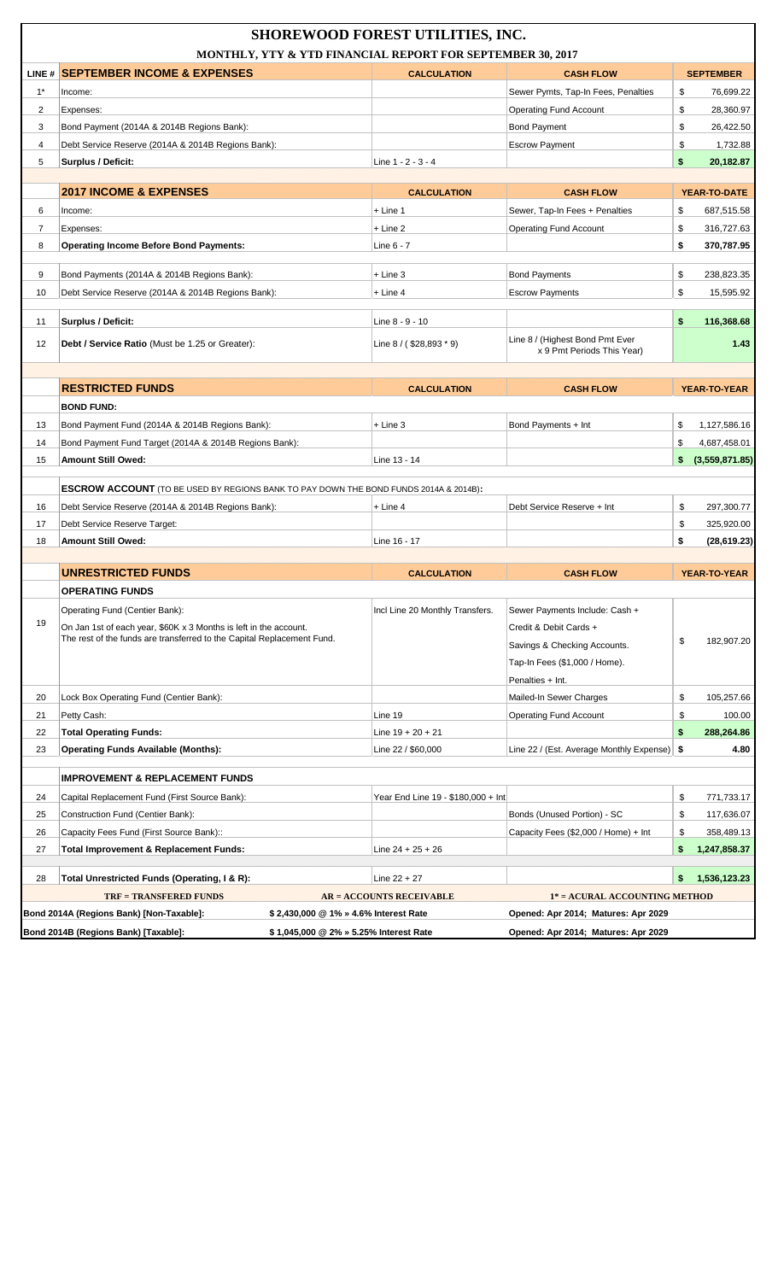|                |                                                                                              | <b>SHOREWOOD FOREST UTILITIES, INC.</b><br>MONTHLY, YTY & YTD FINANCIAL REPORT FOR SEPTEMBER 30, 2017 |                                                               |                      |
|----------------|----------------------------------------------------------------------------------------------|-------------------------------------------------------------------------------------------------------|---------------------------------------------------------------|----------------------|
|                |                                                                                              |                                                                                                       |                                                               |                      |
|                | LINE # SEPTEMBER INCOME & EXPENSES                                                           | <b>CALCULATION</b>                                                                                    | <b>CASH FLOW</b>                                              | <b>SEPTEMBER</b>     |
| $1^*$          | Income:                                                                                      |                                                                                                       | Sewer Pymts, Tap-In Fees, Penalties                           | \$<br>76,699.22      |
| $\overline{2}$ | Expenses:                                                                                    |                                                                                                       | <b>Operating Fund Account</b>                                 | \$<br>28,360.97      |
| 3              | Bond Payment (2014A & 2014B Regions Bank):                                                   |                                                                                                       | <b>Bond Payment</b>                                           | \$<br>26,422.50      |
| $\overline{4}$ | Debt Service Reserve (2014A & 2014B Regions Bank):                                           |                                                                                                       | <b>Escrow Payment</b>                                         | \$<br>1,732.88       |
| 5              | Surplus / Deficit:                                                                           | Line 1 - 2 - 3 - 4                                                                                    |                                                               | \$<br>20,182.87      |
|                |                                                                                              |                                                                                                       |                                                               |                      |
|                | <b>2017 INCOME &amp; EXPENSES</b>                                                            | <b>CALCULATION</b>                                                                                    | <b>CASH FLOW</b>                                              | YEAR-TO-DATE         |
| 6              | Income:                                                                                      | $+$ Line 1                                                                                            | Sewer, Tap-In Fees + Penalties                                | \$<br>687,515.58     |
| $\overline{7}$ | Expenses:                                                                                    | $+$ Line 2                                                                                            | <b>Operating Fund Account</b>                                 | \$<br>316,727.63     |
| 8              | <b>Operating Income Before Bond Payments:</b>                                                | Line $6 - 7$                                                                                          |                                                               | \$<br>370,787.95     |
| 9              | Bond Payments (2014A & 2014B Regions Bank):                                                  | $+$ Line 3                                                                                            | <b>Bond Payments</b>                                          | \$<br>238,823.35     |
| 10             | Debt Service Reserve (2014A & 2014B Regions Bank):                                           | $+$ Line 4                                                                                            | <b>Escrow Payments</b>                                        | \$<br>15,595.92      |
|                |                                                                                              |                                                                                                       |                                                               |                      |
| 11             | Surplus / Deficit:                                                                           | Line 8 - 9 - 10                                                                                       |                                                               | \$<br>116,368.68     |
| 12             | Debt / Service Ratio (Must be 1.25 or Greater):                                              | Line 8 / (\$28,893 * 9)                                                                               | Line 8 / (Highest Bond Pmt Ever<br>x 9 Pmt Periods This Year) | 1.43                 |
|                |                                                                                              |                                                                                                       |                                                               |                      |
|                | <b>RESTRICTED FUNDS</b>                                                                      | <b>CALCULATION</b>                                                                                    | <b>CASH FLOW</b>                                              | <b>YEAR-TO-YEAR</b>  |
|                | <b>BOND FUND:</b>                                                                            |                                                                                                       |                                                               |                      |
| 13             | Bond Payment Fund (2014A & 2014B Regions Bank):                                              | $+$ Line 3                                                                                            | Bond Payments + Int                                           | \$<br>1,127,586.16   |
| 14             | Bond Payment Fund Target (2014A & 2014B Regions Bank):                                       |                                                                                                       |                                                               | \$<br>4,687,458.01   |
| 15             | <b>Amount Still Owed:</b>                                                                    | Line 13 - 14                                                                                          |                                                               | \$<br>(3,559,871.85) |
|                |                                                                                              |                                                                                                       |                                                               |                      |
|                | <b>ESCROW ACCOUNT</b> (TO BE USED BY REGIONS BANK TO PAY DOWN THE BOND FUNDS 2014A & 2014B): |                                                                                                       |                                                               |                      |
| 16             | Debt Service Reserve (2014A & 2014B Regions Bank):                                           | $+$ Line 4                                                                                            | Debt Service Reserve + Int                                    | \$<br>297,300.77     |
| 17             | Debt Service Reserve Target:                                                                 |                                                                                                       |                                                               | \$<br>325,920.00     |
| 18             | <b>Amount Still Owed:</b>                                                                    | Line 16 - 17                                                                                          |                                                               | \$<br>(28, 619.23)   |
|                |                                                                                              |                                                                                                       |                                                               |                      |
|                | <b>UNRESTRICTED FUNDS</b>                                                                    | <b>CALCULATION</b>                                                                                    | <b>CASH FLOW</b>                                              | YEAR-TO-YEAR         |
|                | <b>OPERATING FUNDS</b>                                                                       |                                                                                                       |                                                               |                      |
|                | Operating Fund (Centier Bank):                                                               | Incl Line 20 Monthly Transfers.                                                                       | Sewer Payments Include: Cash +                                |                      |
| 19             | On Jan 1st of each year, \$60K x 3 Months is left in the account.                            |                                                                                                       | Credit & Debit Cards +                                        |                      |
|                | The rest of the funds are transferred to the Capital Replacement Fund.                       |                                                                                                       | Savings & Checking Accounts.                                  | \$<br>182,907.20     |
|                |                                                                                              |                                                                                                       | Tap-In Fees (\$1,000 / Home).                                 |                      |
|                |                                                                                              |                                                                                                       | Penalties + Int.                                              |                      |
| 20             | Lock Box Operating Fund (Centier Bank):                                                      |                                                                                                       | Mailed-In Sewer Charges                                       | \$<br>105,257.66     |
| 21             | Petty Cash:                                                                                  | Line 19                                                                                               | <b>Operating Fund Account</b>                                 | \$<br>100.00         |
| 22             | <b>Total Operating Funds:</b>                                                                | Line $19 + 20 + 21$                                                                                   |                                                               | \$<br>288,264.86     |
| 23             | <b>Operating Funds Available (Months):</b>                                                   | Line 22 / \$60,000                                                                                    | Line 22 / (Est. Average Monthly Expense)   \$                 | 4.80                 |
|                |                                                                                              |                                                                                                       |                                                               |                      |
|                | <b>IMPROVEMENT &amp; REPLACEMENT FUNDS</b>                                                   |                                                                                                       |                                                               |                      |
| 24             | Capital Replacement Fund (First Source Bank):                                                | Year End Line 19 - \$180,000 + Int                                                                    |                                                               | \$<br>771,733.17     |
| 25             | Construction Fund (Centier Bank):                                                            |                                                                                                       | Bonds (Unused Portion) - SC                                   | \$<br>117,636.07     |
| 26             | Capacity Fees Fund (First Source Bank)::                                                     |                                                                                                       | Capacity Fees (\$2,000 / Home) + Int                          | \$<br>358,489.13     |
| 27             | <b>Total Improvement &amp; Replacement Funds:</b>                                            | Line $24 + 25 + 26$                                                                                   |                                                               | \$<br>1,247,858.37   |
|                |                                                                                              |                                                                                                       |                                                               |                      |
| 28             | Total Unrestricted Funds (Operating, I & R):                                                 | Line $22 + 27$                                                                                        |                                                               | \$<br>1,536,123.23   |
|                | <b>TRF = TRANSFERED FUNDS</b>                                                                | <b>AR = ACCOUNTS RECEIVABLE</b>                                                                       | 1* = ACURAL ACCOUNTING METHOD                                 |                      |
|                | Bond 2014A (Regions Bank) [Non-Taxable]:                                                     | \$2,430,000 @ 1% » 4.6% Interest Rate                                                                 | Opened: Apr 2014; Matures: Apr 2029                           |                      |
|                | Bond 2014B (Regions Bank) [Taxable]:                                                         | \$1,045,000 @ 2% » 5.25% Interest Rate                                                                | Opened: Apr 2014; Matures: Apr 2029                           |                      |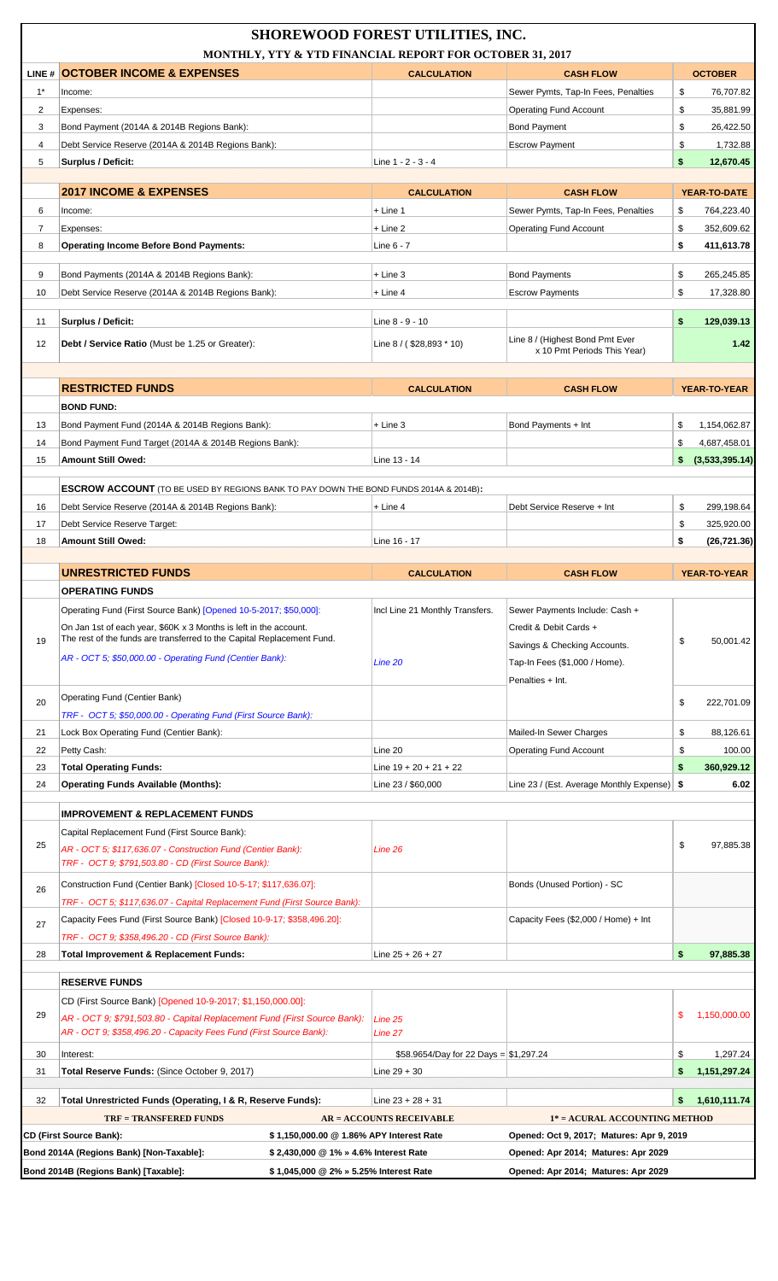|          | MONTHLY, YTY & YTD FINANCIAL REPORT FOR OCTOBER 31, 2017                                                                                                       | <b>SHOREWOOD FOREST UTILITIES, INC.</b> |                                                                                  |                                          |
|----------|----------------------------------------------------------------------------------------------------------------------------------------------------------------|-----------------------------------------|----------------------------------------------------------------------------------|------------------------------------------|
|          | LINE # OCTOBER INCOME & EXPENSES                                                                                                                               | <b>CALCULATION</b>                      | <b>CASH FLOW</b>                                                                 | <b>OCTOBER</b>                           |
| $1^*$    | Income:                                                                                                                                                        |                                         | Sewer Pymts, Tap-In Fees, Penalties                                              | \$<br>76,707.82                          |
| 2        | Expenses:                                                                                                                                                      |                                         | <b>Operating Fund Account</b>                                                    | \$<br>35,881.99                          |
| 3        | Bond Payment (2014A & 2014B Regions Bank):                                                                                                                     |                                         | <b>Bond Payment</b>                                                              | \$<br>26,422.50                          |
| 4        | Debt Service Reserve (2014A & 2014B Regions Bank):                                                                                                             |                                         | <b>Escrow Payment</b>                                                            | \$<br>1,732.88                           |
| 5        | Surplus / Deficit:                                                                                                                                             | Line 1 - 2 - 3 - 4                      |                                                                                  | \$<br>12,670.45                          |
|          | <b>2017 INCOME &amp; EXPENSES</b>                                                                                                                              | <b>CALCULATION</b>                      | <b>CASH FLOW</b>                                                                 | YEAR-TO-DATE                             |
| 6        | Income:                                                                                                                                                        | $+$ Line 1                              | Sewer Pymts, Tap-In Fees, Penalties                                              | \$<br>764,223.40                         |
| 7        | Expenses:                                                                                                                                                      | + Line 2                                | <b>Operating Fund Account</b>                                                    | \$<br>352,609.62                         |
| 8        | <b>Operating Income Before Bond Payments:</b>                                                                                                                  | Line 6 - 7                              |                                                                                  | \$<br>411,613.78                         |
| 9        | Bond Payments (2014A & 2014B Regions Bank):                                                                                                                    | $+$ Line 3                              | <b>Bond Payments</b>                                                             | \$<br>265,245.85                         |
| 10       | Debt Service Reserve (2014A & 2014B Regions Bank):                                                                                                             | $+$ Line 4                              | <b>Escrow Payments</b>                                                           | \$<br>17,328.80                          |
|          |                                                                                                                                                                |                                         |                                                                                  |                                          |
| 11       | Surplus / Deficit:                                                                                                                                             | Line 8 - 9 - 10                         |                                                                                  | \$<br>129,039.13                         |
| 12       | <b>Debt / Service Ratio</b> (Must be 1.25 or Greater):                                                                                                         | Line $8 / ( $28,893 * 10)$              | Line 8 / (Highest Bond Pmt Ever<br>x 10 Pmt Periods This Year)                   | 1.42                                     |
|          |                                                                                                                                                                |                                         |                                                                                  |                                          |
|          | <b>RESTRICTED FUNDS</b>                                                                                                                                        | <b>CALCULATION</b>                      | <b>CASH FLOW</b>                                                                 | YEAR-TO-YEAR                             |
|          | <b>BOND FUND:</b>                                                                                                                                              |                                         |                                                                                  |                                          |
| 13<br>14 | Bond Payment Fund (2014A & 2014B Regions Bank):<br>Bond Payment Fund Target (2014A & 2014B Regions Bank):                                                      | $+$ Line 3                              | Bond Payments + Int                                                              | \$<br>1,154,062.87<br>\$<br>4,687,458.01 |
| 15       | <b>Amount Still Owed:</b>                                                                                                                                      | Line 13 - 14                            |                                                                                  | \$<br>(3,533,395.14)                     |
|          |                                                                                                                                                                |                                         |                                                                                  |                                          |
|          | ESCROW ACCOUNT (TO BE USED BY REGIONS BANK TO PAY DOWN THE BOND FUNDS 2014A & 2014B):                                                                          |                                         |                                                                                  |                                          |
| 16       | Debt Service Reserve (2014A & 2014B Regions Bank):                                                                                                             | + Line 4                                | Debt Service Reserve + Int                                                       | \$<br>299,198.64                         |
| 17       | Debt Service Reserve Target:                                                                                                                                   |                                         |                                                                                  | \$<br>325,920.00                         |
| 18       | <b>Amount Still Owed:</b>                                                                                                                                      | Line 16 - 17                            |                                                                                  | \$<br>(26, 721.36)                       |
|          | <b>UNRESTRICTED FUNDS</b>                                                                                                                                      | <b>CALCULATION</b>                      | <b>CASH FLOW</b>                                                                 | YEAR-TO-YEAR                             |
|          | <b>OPERATING FUNDS</b>                                                                                                                                         |                                         |                                                                                  |                                          |
|          | Operating Fund (First Source Bank) [Opened 10-5-2017; \$50,000]:                                                                                               | Incl Line 21 Monthly Transfers.         | Sewer Payments Include: Cash +                                                   |                                          |
|          | On Jan 1st of each year, \$60K x 3 Months is left in the account.                                                                                              |                                         | Credit & Debit Cards +                                                           |                                          |
| 19       | The rest of the funds are transferred to the Capital Replacement Fund.                                                                                         |                                         | Savings & Checking Accounts.                                                     | \$<br>50,001.42                          |
|          | AR - OCT 5; \$50,000.00 - Operating Fund (Centier Bank):                                                                                                       | Line 20                                 | Tap-In Fees (\$1,000 / Home).                                                    |                                          |
|          |                                                                                                                                                                |                                         | Penalties + Int.                                                                 |                                          |
| 20       | Operating Fund (Centier Bank)                                                                                                                                  |                                         |                                                                                  | \$<br>222,701.09                         |
|          | TRF - OCT 5; \$50,000.00 - Operating Fund (First Source Bank):                                                                                                 |                                         |                                                                                  |                                          |
| 21<br>22 | Lock Box Operating Fund (Centier Bank):<br>Petty Cash:                                                                                                         | Line 20                                 | Mailed-In Sewer Charges<br><b>Operating Fund Account</b>                         | \$<br>88,126.61<br>\$<br>100.00          |
| 23       | <b>Total Operating Funds:</b>                                                                                                                                  | Line $19 + 20 + 21 + 22$                |                                                                                  | \$<br>360,929.12                         |
| 24       | <b>Operating Funds Available (Months):</b>                                                                                                                     | Line 23 / \$60,000                      | Line 23 / (Est. Average Monthly Expense)   \$                                    | 6.02                                     |
|          |                                                                                                                                                                |                                         |                                                                                  |                                          |
|          | <b>IMPROVEMENT &amp; REPLACEMENT FUNDS</b>                                                                                                                     |                                         |                                                                                  |                                          |
| 25       | Capital Replacement Fund (First Source Bank):                                                                                                                  |                                         |                                                                                  | \$<br>97,885.38                          |
|          | AR - OCT 5; \$117,636.07 - Construction Fund (Centier Bank):<br>TRF - OCT 9; \$791,503.80 - CD (First Source Bank):                                            | Line 26                                 |                                                                                  |                                          |
|          | Construction Fund (Centier Bank) [Closed 10-5-17; \$117,636.07]:                                                                                               |                                         | Bonds (Unused Portion) - SC                                                      |                                          |
| 26       | TRF - OCT 5; \$117,636.07 - Capital Replacement Fund (First Source Bank):                                                                                      |                                         |                                                                                  |                                          |
| 27       | Capacity Fees Fund (First Source Bank) [Closed 10-9-17; \$358,496.20]:                                                                                         |                                         | Capacity Fees (\$2,000 / Home) + Int                                             |                                          |
|          | TRF - OCT 9; \$358,496.20 - CD (First Source Bank):                                                                                                            |                                         |                                                                                  |                                          |
| 28       | Total Improvement & Replacement Funds:                                                                                                                         | Line $25 + 26 + 27$                     |                                                                                  | \$<br>97,885.38                          |
|          | <b>RESERVE FUNDS</b>                                                                                                                                           |                                         |                                                                                  |                                          |
|          | CD (First Source Bank) [Opened 10-9-2017; \$1,150,000.00]:                                                                                                     |                                         |                                                                                  |                                          |
| 29       | AR - OCT 9; \$791,503.80 - Capital Replacement Fund (First Source Bank):<br>AR - OCT 9; \$358,496.20 - Capacity Fees Fund (First Source Bank):                 | Line 25<br>Line 27                      |                                                                                  | 1,150,000.00<br>\$.                      |
| 30       | Interest:                                                                                                                                                      | \$58.9654/Day for 22 Days = \$1,297.24  |                                                                                  | \$<br>1,297.24                           |
| 31       | Total Reserve Funds: (Since October 9, 2017)                                                                                                                   | Line $29 + 30$                          |                                                                                  | 1,151,297.24<br>\$                       |
|          |                                                                                                                                                                |                                         |                                                                                  |                                          |
| 32       | Total Unrestricted Funds (Operating, I & R, Reserve Funds):                                                                                                    | Line 23 + 28 + 31                       |                                                                                  | \$<br>1,610,111.74                       |
|          | <b>TRF = TRANSFERED FUNDS</b>                                                                                                                                  | AR = ACCOUNTS RECEIVABLE                | 1* = ACURAL ACCOUNTING METHOD                                                    |                                          |
|          | <b>CD (First Source Bank):</b><br>\$1,150,000.00 @1.86% APY Interest Rate<br>Bond 2014A (Regions Bank) [Non-Taxable]:<br>\$2.430.000 @ 1% » 4.6% Interest Rate |                                         | Opened: Oct 9, 2017; Matures: Apr 9, 2019<br>Opened: Apr 2014; Matures: Apr 2029 |                                          |
|          | Bond 2014B (Regions Bank) [Taxable]:<br>\$1,045,000 @ 2% » 5.25% Interest Rate                                                                                 |                                         | Opened: Apr 2014; Matures: Apr 2029                                              |                                          |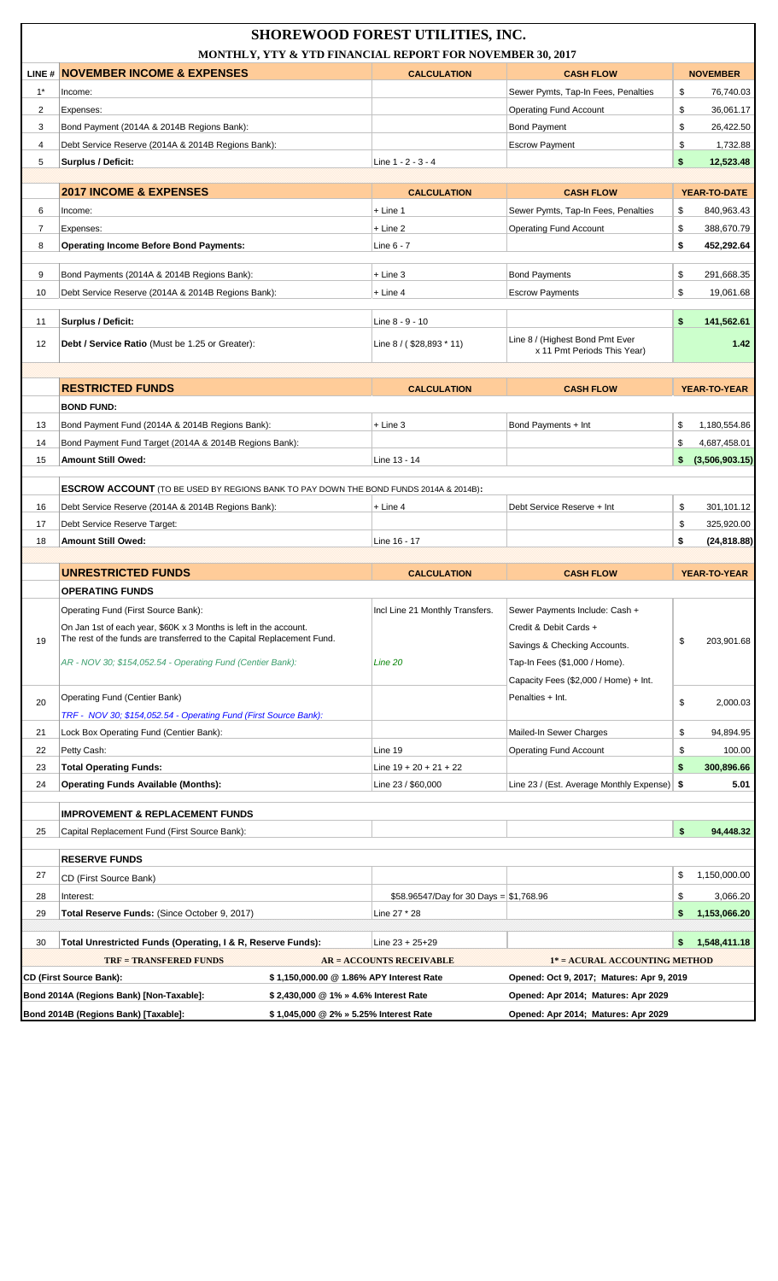|       |                                                                                       | <b>SHOREWOOD FOREST UTILITIES, INC.</b>  |                                                                |                      |
|-------|---------------------------------------------------------------------------------------|------------------------------------------|----------------------------------------------------------------|----------------------|
|       | MONTHLY, YTY & YTD FINANCIAL REPORT FOR NOVEMBER 30, 2017                             |                                          |                                                                |                      |
|       | LINE # NOVEMBER INCOME & EXPENSES                                                     | <b>CALCULATION</b>                       | <b>CASH FLOW</b>                                               | <b>NOVEMBER</b>      |
| $1^*$ | Income:                                                                               |                                          | Sewer Pymts, Tap-In Fees, Penalties                            | \$<br>76,740.03      |
| 2     | Expenses:                                                                             |                                          | <b>Operating Fund Account</b>                                  | \$<br>36,061.17      |
| 3     | Bond Payment (2014A & 2014B Regions Bank):                                            |                                          | <b>Bond Payment</b>                                            | \$<br>26,422.50      |
| 4     | Debt Service Reserve (2014A & 2014B Regions Bank):                                    |                                          | <b>Escrow Payment</b>                                          | \$<br>1,732.88       |
| 5     | Surplus / Deficit:                                                                    | Line 1 - 2 - 3 - 4                       |                                                                | \$<br>12,523.48      |
|       | <b>2017 INCOME &amp; EXPENSES</b>                                                     | <b>CALCULATION</b>                       | <b>CASH FLOW</b>                                               | YEAR-TO-DATE         |
| 6     | Income:                                                                               | $+$ Line 1                               | Sewer Pymts, Tap-In Fees, Penalties                            | \$<br>840,963.43     |
| 7     | Expenses:                                                                             | $+$ Line 2                               | <b>Operating Fund Account</b>                                  | \$<br>388,670.79     |
| 8     | <b>Operating Income Before Bond Payments:</b>                                         | Line 6 - 7                               |                                                                | \$<br>452,292.64     |
|       |                                                                                       |                                          |                                                                |                      |
| 9     | Bond Payments (2014A & 2014B Regions Bank):                                           | $+$ Line 3                               | <b>Bond Payments</b>                                           | \$<br>291,668.35     |
| 10    | Debt Service Reserve (2014A & 2014B Regions Bank):                                    | $+$ Line 4                               | <b>Escrow Payments</b>                                         | \$<br>19,061.68      |
|       |                                                                                       |                                          |                                                                |                      |
| 11    | Surplus / Deficit:                                                                    | Line 8 - 9 - 10                          |                                                                | \$<br>141,562.61     |
| 12    | Debt / Service Ratio (Must be 1.25 or Greater):                                       | Line $8 / ( $28,893 * 11)$               | Line 8 / (Highest Bond Pmt Ever<br>x 11 Pmt Periods This Year) | 1.42                 |
|       |                                                                                       |                                          |                                                                |                      |
|       | <b>RESTRICTED FUNDS</b>                                                               | <b>CALCULATION</b>                       | <b>CASH FLOW</b>                                               | <b>YEAR-TO-YEAR</b>  |
|       | <b>BOND FUND:</b>                                                                     |                                          |                                                                |                      |
| 13    | Bond Payment Fund (2014A & 2014B Regions Bank):                                       | $+$ Line 3                               | Bond Payments + Int                                            | \$<br>1,180,554.86   |
| 14    | Bond Payment Fund Target (2014A & 2014B Regions Bank):                                |                                          |                                                                | \$<br>4,687,458.01   |
| 15    | <b>Amount Still Owed:</b>                                                             | Line 13 - 14                             |                                                                | (3,506,903.15)<br>\$ |
|       |                                                                                       |                                          |                                                                |                      |
|       | ESCROW ACCOUNT (TO BE USED BY REGIONS BANK TO PAY DOWN THE BOND FUNDS 2014A & 2014B): |                                          |                                                                |                      |
| 16    | Debt Service Reserve (2014A & 2014B Regions Bank):                                    | $+$ Line 4                               | Debt Service Reserve + Int                                     | \$<br>301,101.12     |
| 17    | Debt Service Reserve Target:                                                          |                                          |                                                                | \$<br>325,920.00     |
| 18    | <b>Amount Still Owed:</b>                                                             | Line 16 - 17                             |                                                                | \$<br>(24, 818.88)   |
|       | <b>UNRESTRICTED FUNDS</b>                                                             | <b>CALCULATION</b>                       | <b>CASH FLOW</b>                                               | YEAR-TO-YEAR         |
|       | <b>OPERATING FUNDS</b>                                                                |                                          |                                                                |                      |
|       | Operating Fund (First Source Bank):                                                   | Incl Line 21 Monthly Transfers.          | Sewer Payments Include: Cash +                                 |                      |
|       | On Jan 1st of each year, \$60K x 3 Months is left in the account.                     |                                          | Credit & Debit Cards +                                         |                      |
| 19    | The rest of the funds are transferred to the Capital Replacement Fund.                |                                          | Savings & Checking Accounts.                                   | \$<br>203,901.68     |
|       | AR - NOV 30; \$154,052.54 - Operating Fund (Centier Bank):                            | Line 20                                  | Tap-In Fees (\$1,000 / Home).                                  |                      |
|       |                                                                                       |                                          | Capacity Fees (\$2,000 / Home) + Int.                          |                      |
|       |                                                                                       |                                          |                                                                |                      |
| 20    | Operating Fund (Centier Bank)                                                         |                                          | Penalties + Int.                                               | \$<br>2,000.03       |
|       | TRF - NOV 30; \$154,052.54 - Operating Fund (First Source Bank):                      |                                          |                                                                |                      |
|       |                                                                                       |                                          |                                                                |                      |
| 21    | Lock Box Operating Fund (Centier Bank):                                               |                                          | Mailed-In Sewer Charges                                        | \$<br>94,894.95      |
| 22    | Petty Cash:                                                                           | Line 19                                  | <b>Operating Fund Account</b>                                  | \$<br>100.00         |
| 23    | <b>Total Operating Funds:</b>                                                         | Line $19 + 20 + 21 + 22$                 |                                                                | \$<br>300,896.66     |
| 24    | <b>Operating Funds Available (Months):</b>                                            | Line 23 / \$60,000                       | Line 23 / (Est. Average Monthly Expense)   \$                  | 5.01                 |
|       | <b>IMPROVEMENT &amp; REPLACEMENT FUNDS</b>                                            |                                          |                                                                |                      |
| 25    | Capital Replacement Fund (First Source Bank):                                         |                                          |                                                                | \$<br>94,448.32      |
|       |                                                                                       |                                          |                                                                |                      |
| 27    | <b>RESERVE FUNDS</b>                                                                  |                                          |                                                                | \$<br>1,150,000.00   |
|       | CD (First Source Bank)                                                                |                                          |                                                                |                      |
| 28    | Interest:                                                                             | \$58.96547/Day for 30 Days = $$1,768.96$ |                                                                | \$<br>3,066.20       |
| 29    | Total Reserve Funds: (Since October 9, 2017)                                          | Line 27 * 28                             |                                                                | \$<br>1,153,066.20   |
| 30    | Total Unrestricted Funds (Operating, I & R, Reserve Funds):                           | Line $23 + 25 + 29$                      |                                                                | \$<br>1,548,411.18   |
|       | <b>TRF = TRANSFERED FUNDS</b>                                                         | AR = ACCOUNTS RECEIVABLE                 | 1* = ACURAL ACCOUNTING METHOD                                  |                      |
|       | CD (First Source Bank):<br>\$1,150,000.00 @1.86% APY Interest Rate                    |                                          | Opened: Oct 9, 2017; Matures: Apr 9, 2019                      |                      |
|       | Bond 2014A (Regions Bank) [Non-Taxable]:<br>\$2,430,000 @ 1% » 4.6% Interest Rate     |                                          | Opened: Apr 2014; Matures: Apr 2029                            |                      |